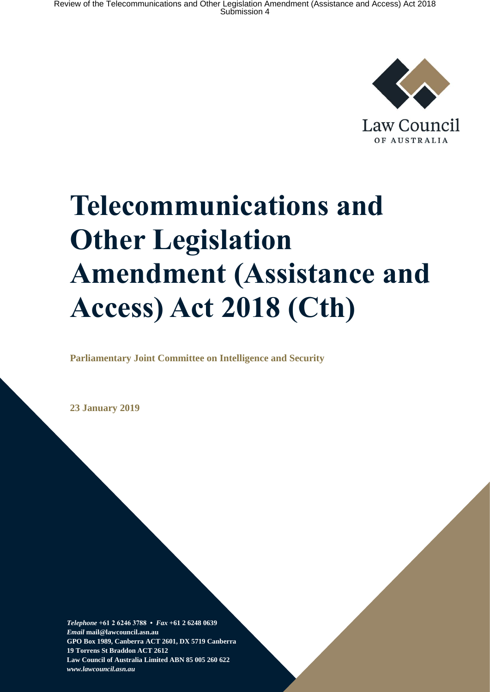

Law Council OF AUSTRALIA

# **Telecommunications and Other Legislation Amendment (Assistance and Access) Act 2018 (Cth)**

**Parliamentary Joint Committee on Intelligence and Security** 

**23 January 2019**

*Telephone* **+61 2 6246 3788 •** *Fax* **+61 2 6248 0639**  *Email* **mail@lawcouncil.asn.au GPO Box 1989, Canberra ACT 2601, DX 5719 Canberra 19 Torrens St Braddon ACT 2612 Law Council of Australia Limited ABN 85 005 260 622** *www.lawcouncil.asn.au*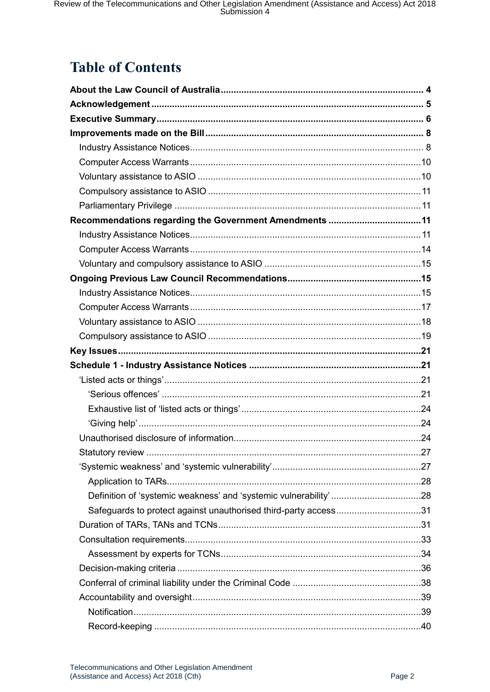# **Table of Contents**

| Recommendations regarding the Government Amendments 11          |  |
|-----------------------------------------------------------------|--|
|                                                                 |  |
|                                                                 |  |
|                                                                 |  |
|                                                                 |  |
|                                                                 |  |
|                                                                 |  |
|                                                                 |  |
|                                                                 |  |
|                                                                 |  |
|                                                                 |  |
|                                                                 |  |
|                                                                 |  |
|                                                                 |  |
|                                                                 |  |
|                                                                 |  |
|                                                                 |  |
|                                                                 |  |
|                                                                 |  |
|                                                                 |  |
|                                                                 |  |
| Safeguards to protect against unauthorised third-party access31 |  |
|                                                                 |  |
|                                                                 |  |
|                                                                 |  |
|                                                                 |  |
|                                                                 |  |
|                                                                 |  |
|                                                                 |  |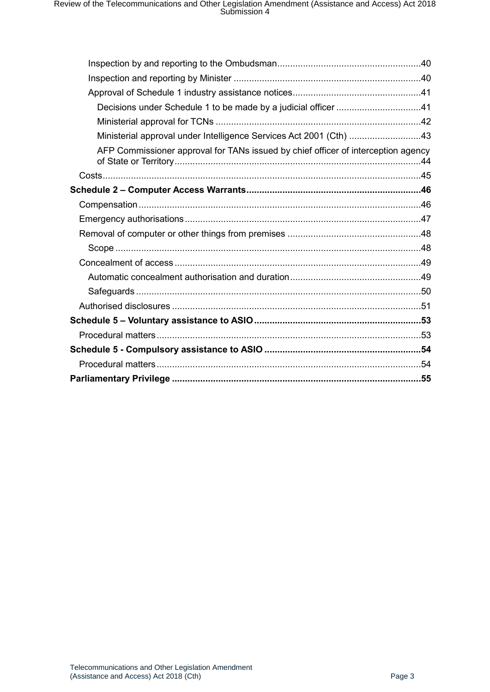| Decisions under Schedule 1 to be made by a judicial officer 41                    |  |
|-----------------------------------------------------------------------------------|--|
|                                                                                   |  |
| Ministerial approval under Intelligence Services Act 2001 (Cth) 43                |  |
| AFP Commissioner approval for TANs issued by chief officer of interception agency |  |
|                                                                                   |  |
|                                                                                   |  |
|                                                                                   |  |
|                                                                                   |  |
|                                                                                   |  |
|                                                                                   |  |
|                                                                                   |  |
|                                                                                   |  |
|                                                                                   |  |
|                                                                                   |  |
|                                                                                   |  |
|                                                                                   |  |
|                                                                                   |  |
|                                                                                   |  |
|                                                                                   |  |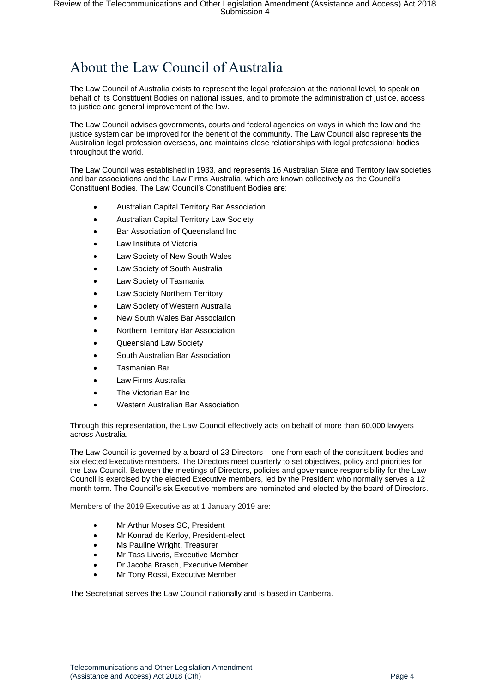# <span id="page-3-0"></span>About the Law Council of Australia

The Law Council of Australia exists to represent the legal profession at the national level, to speak on behalf of its Constituent Bodies on national issues, and to promote the administration of justice, access to justice and general improvement of the law.

The Law Council advises governments, courts and federal agencies on ways in which the law and the justice system can be improved for the benefit of the community. The Law Council also represents the Australian legal profession overseas, and maintains close relationships with legal professional bodies throughout the world.

The Law Council was established in 1933, and represents 16 Australian State and Territory law societies and bar associations and the Law Firms Australia, which are known collectively as the Council's Constituent Bodies. The Law Council's Constituent Bodies are:

- Australian Capital Territory Bar Association
- Australian Capital Territory Law Society
- Bar Association of Queensland Inc
- Law Institute of Victoria
- Law Society of New South Wales
- Law Society of South Australia
- Law Society of Tasmania
- Law Society Northern Territory
- Law Society of Western Australia
- New South Wales Bar Association
- Northern Territory Bar Association
- Queensland Law Society
- South Australian Bar Association
- Tasmanian Bar
- Law Firms Australia
- The Victorian Bar Inc
- Western Australian Bar Association

Through this representation, the Law Council effectively acts on behalf of more than 60,000 lawyers across Australia.

The Law Council is governed by a board of 23 Directors – one from each of the constituent bodies and six elected Executive members. The Directors meet quarterly to set objectives, policy and priorities for the Law Council. Between the meetings of Directors, policies and governance responsibility for the Law Council is exercised by the elected Executive members, led by the President who normally serves a 12 month term. The Council's six Executive members are nominated and elected by the board of Directors.

Members of the 2019 Executive as at 1 January 2019 are:

- Mr Arthur Moses SC, President
- Mr Konrad de Kerloy, President-elect
- Ms Pauline Wright, Treasurer
- Mr Tass Liveris, Executive Member
- Dr Jacoba Brasch, Executive Member
- Mr Tony Rossi, Executive Member

The Secretariat serves the Law Council nationally and is based in Canberra.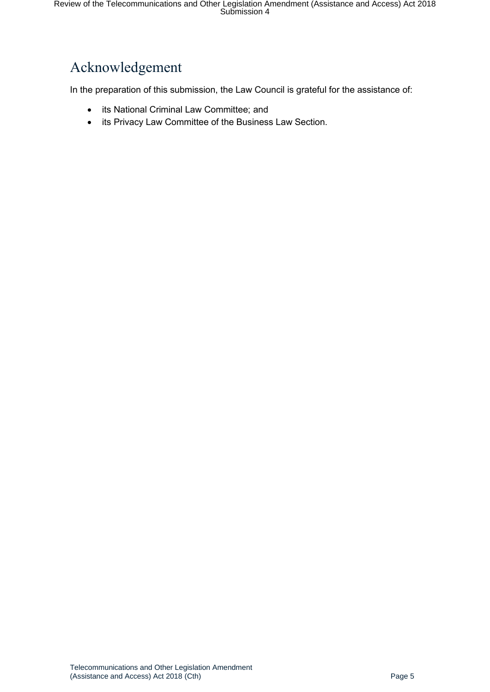# <span id="page-4-0"></span>Acknowledgement

In the preparation of this submission, the Law Council is grateful for the assistance of:

- its National Criminal Law Committee; and
- its Privacy Law Committee of the Business Law Section.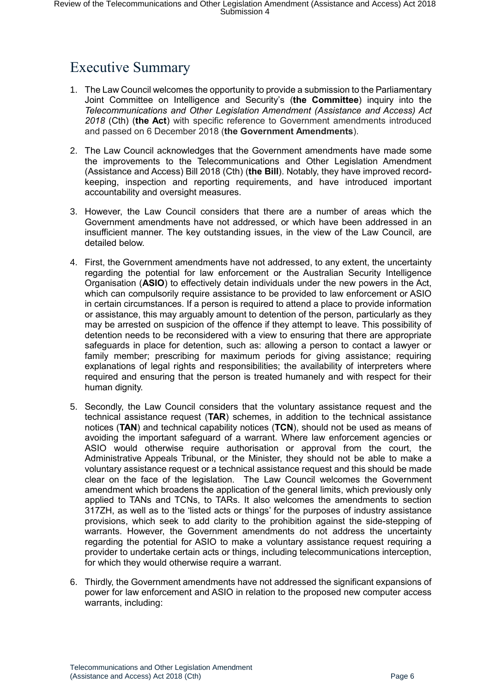# <span id="page-5-0"></span>Executive Summary

- 1. The Law Council welcomes the opportunity to provide a submission to the Parliamentary Joint Committee on Intelligence and Security's (**the Committee**) inquiry into the *Telecommunications and Other Legislation Amendment (Assistance and Access) Act 2018* (Cth) (**the Act**) with specific reference to Government amendments introduced and passed on 6 December 2018 (**the Government Amendments**).
- 2. The Law Council acknowledges that the Government amendments have made some the improvements to the Telecommunications and Other Legislation Amendment (Assistance and Access) Bill 2018 (Cth) (**the Bill**). Notably, they have improved recordkeeping, inspection and reporting requirements, and have introduced important accountability and oversight measures.
- 3. However, the Law Council considers that there are a number of areas which the Government amendments have not addressed, or which have been addressed in an insufficient manner. The key outstanding issues, in the view of the Law Council, are detailed below.
- 4. First, the Government amendments have not addressed, to any extent, the uncertainty regarding the potential for law enforcement or the Australian Security Intelligence Organisation (**ASIO**) to effectively detain individuals under the new powers in the Act, which can compulsorily require assistance to be provided to law enforcement or ASIO in certain circumstances. If a person is required to attend a place to provide information or assistance, this may arguably amount to detention of the person, particularly as they may be arrested on suspicion of the offence if they attempt to leave. This possibility of detention needs to be reconsidered with a view to ensuring that there are appropriate safeguards in place for detention, such as: allowing a person to contact a lawyer or family member; prescribing for maximum periods for giving assistance; requiring explanations of legal rights and responsibilities; the availability of interpreters where required and ensuring that the person is treated humanely and with respect for their human dignity.
- 5. Secondly, the Law Council considers that the voluntary assistance request and the technical assistance request (**TAR**) schemes, in addition to the technical assistance notices (**TAN**) and technical capability notices (**TCN**), should not be used as means of avoiding the important safeguard of a warrant. Where law enforcement agencies or ASIO would otherwise require authorisation or approval from the court, the Administrative Appeals Tribunal, or the Minister, they should not be able to make a voluntary assistance request or a technical assistance request and this should be made clear on the face of the legislation. The Law Council welcomes the Government amendment which broadens the application of the general limits, which previously only applied to TANs and TCNs, to TARs. It also welcomes the amendments to section 317ZH, as well as to the 'listed acts or things' for the purposes of industry assistance provisions, which seek to add clarity to the prohibition against the side-stepping of warrants. However, the Government amendments do not address the uncertainty regarding the potential for ASIO to make a voluntary assistance request requiring a provider to undertake certain acts or things, including telecommunications interception, for which they would otherwise require a warrant.
- 6. Thirdly, the Government amendments have not addressed the significant expansions of power for law enforcement and ASIO in relation to the proposed new computer access warrants, including: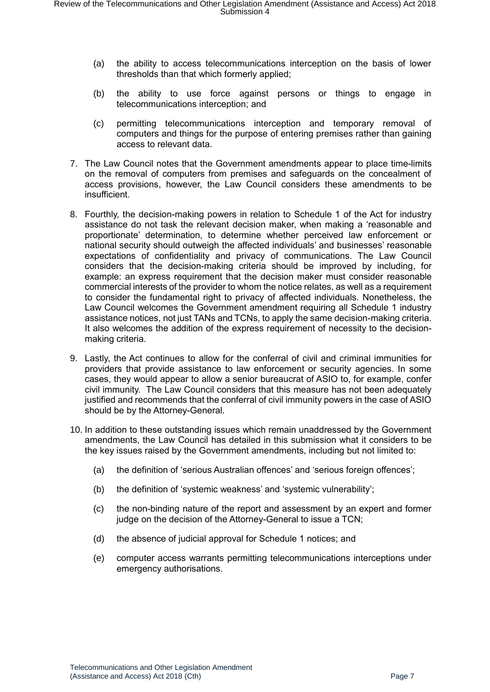- (a) the ability to access telecommunications interception on the basis of lower thresholds than that which formerly applied;
- (b) the ability to use force against persons or things to engage in telecommunications interception; and
- (c) permitting telecommunications interception and temporary removal of computers and things for the purpose of entering premises rather than gaining access to relevant data.
- 7. The Law Council notes that the Government amendments appear to place time-limits on the removal of computers from premises and safeguards on the concealment of access provisions, however, the Law Council considers these amendments to be insufficient.
- 8. Fourthly, the decision-making powers in relation to Schedule 1 of the Act for industry assistance do not task the relevant decision maker, when making a 'reasonable and proportionate' determination, to determine whether perceived law enforcement or national security should outweigh the affected individuals' and businesses' reasonable expectations of confidentiality and privacy of communications. The Law Council considers that the decision-making criteria should be improved by including, for example: an express requirement that the decision maker must consider reasonable commercial interests of the provider to whom the notice relates, as well as a requirement to consider the fundamental right to privacy of affected individuals. Nonetheless, the Law Council welcomes the Government amendment requiring all Schedule 1 industry assistance notices, not just TANs and TCNs, to apply the same decision-making criteria. It also welcomes the addition of the express requirement of necessity to the decisionmaking criteria.
- 9. Lastly, the Act continues to allow for the conferral of civil and criminal immunities for providers that provide assistance to law enforcement or security agencies. In some cases, they would appear to allow a senior bureaucrat of ASIO to, for example, confer civil immunity. The Law Council considers that this measure has not been adequately justified and recommends that the conferral of civil immunity powers in the case of ASIO should be by the Attorney-General.
- 10. In addition to these outstanding issues which remain unaddressed by the Government amendments, the Law Council has detailed in this submission what it considers to be the key issues raised by the Government amendments, including but not limited to:
	- (a) the definition of 'serious Australian offences' and 'serious foreign offences';
	- (b) the definition of 'systemic weakness' and 'systemic vulnerability';
	- (c) the non-binding nature of the report and assessment by an expert and former judge on the decision of the Attorney-General to issue a TCN;
	- (d) the absence of judicial approval for Schedule 1 notices; and
	- (e) computer access warrants permitting telecommunications interceptions under emergency authorisations.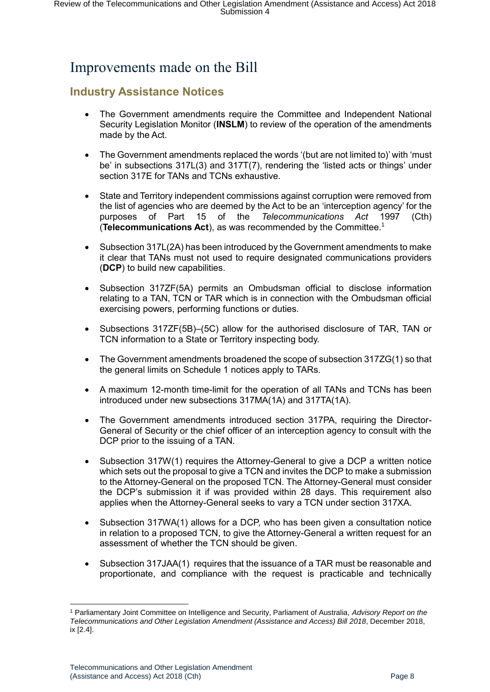# <span id="page-7-0"></span>Improvements made on the Bill

# <span id="page-7-1"></span>**Industry Assistance Notices**

- The Government amendments require the Committee and Independent National Security Legislation Monitor (**INSLM**) to review of the operation of the amendments made by the Act.
- The Government amendments replaced the words '(but are not limited to)' with 'must be' in subsections 317L(3) and 317T(7), rendering the 'listed acts or things' under section 317E for TANs and TCNs exhaustive.
- State and Territory independent commissions against corruption were removed from the list of agencies who are deemed by the Act to be an 'interception agency' for the purposes of Part 15 of the *Telecommunications Act* 1997 (Cth) (**Telecommunications Act**), as was recommended by the Committee.<sup>1</sup>
- Subsection 317L(2A) has been introduced by the Government amendments to make it clear that TANs must not used to require designated communications providers (**DCP**) to build new capabilities.
- Subsection 317ZF(5A) permits an Ombudsman official to disclose information relating to a TAN, TCN or TAR which is in connection with the Ombudsman official exercising powers, performing functions or duties.
- Subsections 317ZF(5B)–(5C) allow for the authorised disclosure of TAR, TAN or TCN information to a State or Territory inspecting body.
- The Government amendments broadened the scope of subsection 317ZG(1) so that the general limits on Schedule 1 notices apply to TARs.
- A maximum 12-month time-limit for the operation of all TANs and TCNs has been introduced under new subsections 317MA(1A) and 317TA(1A).
- The Government amendments introduced section 317PA, requiring the Director-General of Security or the chief officer of an interception agency to consult with the DCP prior to the issuing of a TAN.
- Subsection 317W(1) requires the Attorney-General to give a DCP a written notice which sets out the proposal to give a TCN and invites the DCP to make a submission to the Attorney-General on the proposed TCN. The Attorney-General must consider the DCP's submission it if was provided within 28 days. This requirement also applies when the Attorney-General seeks to vary a TCN under section 317XA.
- Subsection 317WA(1) allows for a DCP, who has been given a consultation notice in relation to a proposed TCN, to give the Attorney-General a written request for an assessment of whether the TCN should be given.
- Subsection 317JAA(1) requires that the issuance of a TAR must be reasonable and proportionate, and compliance with the request is practicable and technically

<sup>1</sup> <sup>1</sup> Parliamentary Joint Committee on Intelligence and Security, Parliament of Australia, *Advisory Report on the Telecommunications and Other Legislation Amendment (Assistance and Access) Bill 2018*, December 2018, ix [2.4].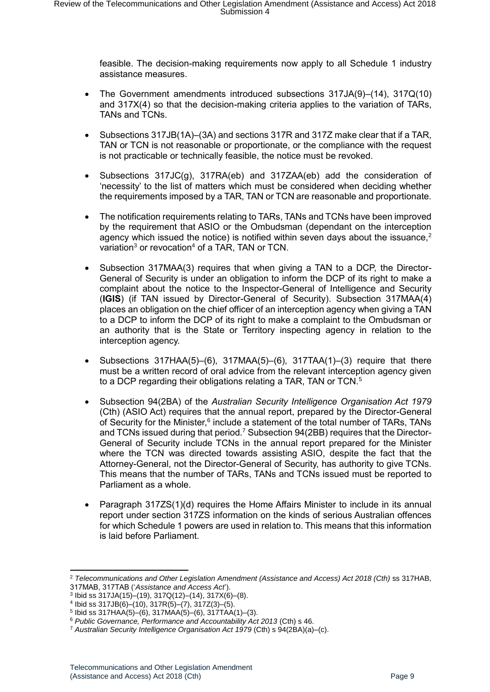feasible. The decision-making requirements now apply to all Schedule 1 industry assistance measures.

- The Government amendments introduced subsections 317JA(9)–(14), 317Q(10) and 317X(4) so that the decision-making criteria applies to the variation of TARs, TANs and TCNs.
- Subsections 317JB(1A)–(3A) and sections 317R and 317Z make clear that if a TAR, TAN or TCN is not reasonable or proportionate, or the compliance with the request is not practicable or technically feasible, the notice must be revoked.
- Subsections 317JC(g), 317RA(eb) and 317ZAA(eb) add the consideration of 'necessity' to the list of matters which must be considered when deciding whether the requirements imposed by a TAR, TAN or TCN are reasonable and proportionate.
- The notification requirements relating to TARs, TANs and TCNs have been improved by the requirement that ASIO or the Ombudsman (dependant on the interception agency which issued the notice) is notified within seven days about the issuance.<sup>2</sup> variation<sup>3</sup> or revocation<sup>4</sup> of a TAR, TAN or TCN.
- Subsection 317MAA(3) requires that when giving a TAN to a DCP, the Director-General of Security is under an obligation to inform the DCP of its right to make a complaint about the notice to the Inspector-General of Intelligence and Security (**IGIS**) (if TAN issued by Director-General of Security). Subsection 317MAA(4) places an obligation on the chief officer of an interception agency when giving a TAN to a DCP to inform the DCP of its right to make a complaint to the Ombudsman or an authority that is the State or Territory inspecting agency in relation to the interception agency.
- Subsections  $317HAA(5)$ –(6),  $317MAA(5)$ –(6),  $317TAA(1)$ –(3) require that there must be a written record of oral advice from the relevant interception agency given to a DCP regarding their obligations relating a TAR, TAN or TCN.<sup>5</sup>
- Subsection 94(2BA) of the *Australian Security Intelligence Organisation Act 1979* (Cth) (ASIO Act) requires that the annual report, prepared by the Director-General of Security for the Minister,<sup>6</sup> include a statement of the total number of TARs, TANs and TCNs issued during that period.<sup>7</sup> Subsection 94(2BB) requires that the Director-General of Security include TCNs in the annual report prepared for the Minister where the TCN was directed towards assisting ASIO, despite the fact that the Attorney-General, not the Director-General of Security, has authority to give TCNs. This means that the number of TARs, TANs and TCNs issued must be reported to Parliament as a whole.
- Paragraph 317ZS(1)(d) requires the Home Affairs Minister to include in its annual report under section 317ZS information on the kinds of serious Australian offences for which Schedule 1 powers are used in relation to. This means that this information is laid before Parliament.

<sup>&</sup>lt;sup>2</sup> Telecommunications and Other Legislation Amendment (Assistance and Access) Act 2018 (Cth) ss 317HAB, 317MAB, 317TAB ('*Assistance and Access Act*').

<sup>3</sup> Ibid ss 317JA(15)–(19), 317Q(12)–(14), 317X(6)–(8).

<sup>4</sup> Ibid ss 317JB(6)–(10), 317R(5)–(7), 317Z(3)–(5). 5 Ibid ss 317HAA(5)–(6), 317MAA(5)–(6), 317TAA(1)–(3).

<sup>6</sup> *Public Governance, Performance and Accountability Act 2013* (Cth) s 46.

<sup>7</sup> *Australian Security Intelligence Organisation Act 1979* (Cth) s 94(2BA)(a)–(c).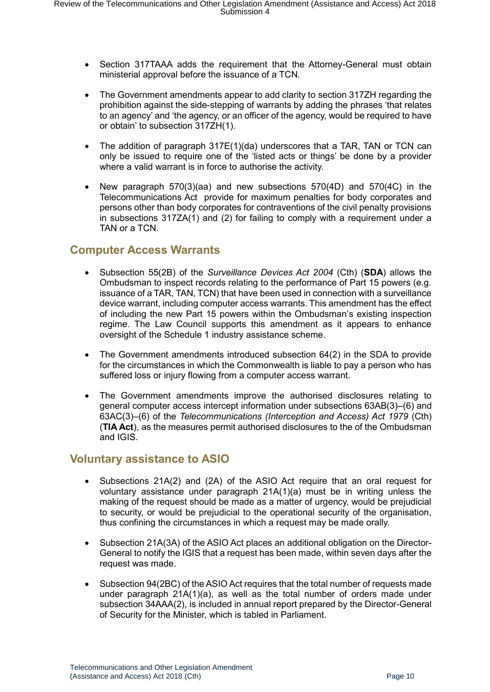- Section 317TAAA adds the requirement that the Attorney-General must obtain ministerial approval before the issuance of a TCN.
- The Government amendments appear to add clarity to section 317ZH regarding the prohibition against the side-stepping of warrants by adding the phrases 'that relates to an agency' and 'the agency, or an officer of the agency, would be required to have or obtain' to subsection 317ZH(1).
- The addition of paragraph 317E(1)(da) underscores that a TAR, TAN or TCN can only be issued to require one of the 'listed acts or things' be done by a provider where a valid warrant is in force to authorise the activity.
- New paragraph 570(3)(aa) and new subsections 570(4D) and 570(4C) in the Telecommunications Act provide for maximum penalties for body corporates and persons other than body corporates for contraventions of the civil penalty provisions in subsections 317ZA(1) and (2) for failing to comply with a requirement under a TAN or a TCN.

#### <span id="page-9-0"></span>**Computer Access Warrants**

- Subsection 55(2B) of the *Surveillance Devices Act 2004* (Cth) (**SDA**) allows the Ombudsman to inspect records relating to the performance of Part 15 powers (e.g. issuance of a TAR, TAN, TCN) that have been used in connection with a surveillance device warrant, including computer access warrants. This amendment has the effect of including the new Part 15 powers within the Ombudsman's existing inspection regime. The Law Council supports this amendment as it appears to enhance oversight of the Schedule 1 industry assistance scheme.
- The Government amendments introduced subsection 64(2) in the SDA to provide for the circumstances in which the Commonwealth is liable to pay a person who has suffered loss or injury flowing from a computer access warrant.
- The Government amendments improve the authorised disclosures relating to general computer access intercept information under subsections 63AB(3)–(6) and 63AC(3)–(6) of the *Telecommunications (Interception and Access) Act 1979* (Cth) (**TIA Act**), as the measures permit authorised disclosures to the of the Ombudsman and IGIS.

#### <span id="page-9-1"></span>**Voluntary assistance to ASIO**

- Subsections 21A(2) and (2A) of the ASIO Act require that an oral request for voluntary assistance under paragraph 21A(1)(a) must be in writing unless the making of the request should be made as a matter of urgency, would be prejudicial to security, or would be prejudicial to the operational security of the organisation, thus confining the circumstances in which a request may be made orally.
- Subsection 21A(3A) of the ASIO Act places an additional obligation on the Director-General to notify the IGIS that a request has been made, within seven days after the request was made.
- Subsection 94(2BC) of the ASIO Act requires that the total number of requests made under paragraph  $21A(1)(a)$ , as well as the total number of orders made under subsection 34AAA(2), is included in annual report prepared by the Director-General of Security for the Minister, which is tabled in Parliament.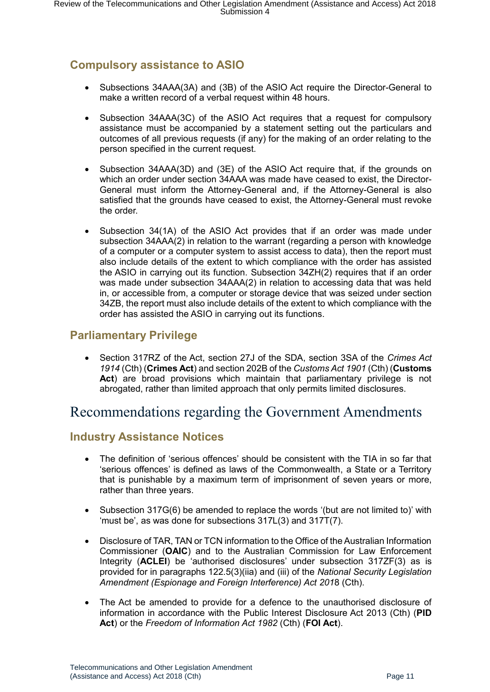# <span id="page-10-0"></span>**Compulsory assistance to ASIO**

- Subsections 34AAA(3A) and (3B) of the ASIO Act require the Director-General to make a written record of a verbal request within 48 hours.
- Subsection 34AAA(3C) of the ASIO Act requires that a request for compulsory assistance must be accompanied by a statement setting out the particulars and outcomes of all previous requests (if any) for the making of an order relating to the person specified in the current request.
- Subsection 34AAA(3D) and (3E) of the ASIO Act require that, if the grounds on which an order under section 34AAA was made have ceased to exist, the Director-General must inform the Attorney-General and, if the Attorney-General is also satisfied that the grounds have ceased to exist, the Attorney-General must revoke the order.
- Subsection 34(1A) of the ASIO Act provides that if an order was made under subsection 34AAA(2) in relation to the warrant (regarding a person with knowledge of a computer or a computer system to assist access to data), then the report must also include details of the extent to which compliance with the order has assisted the ASIO in carrying out its function. Subsection 34ZH(2) requires that if an order was made under subsection 34AAA(2) in relation to accessing data that was held in, or accessible from, a computer or storage device that was seized under section 34ZB, the report must also include details of the extent to which compliance with the order has assisted the ASIO in carrying out its functions.

## <span id="page-10-1"></span>**Parliamentary Privilege**

• Section 317RZ of the Act, section 27J of the SDA, section 3SA of the *Crimes Act 1914* (Cth) (**Crimes Act**) and section 202B of the *Customs Act 1901* (Cth) (**Customs Act**) are broad provisions which maintain that parliamentary privilege is not abrogated, rather than limited approach that only permits limited disclosures.

# <span id="page-10-2"></span>Recommendations regarding the Government Amendments

## <span id="page-10-3"></span>**Industry Assistance Notices**

- The definition of 'serious offences' should be consistent with the TIA in so far that 'serious offences' is defined as laws of the Commonwealth, a State or a Territory that is punishable by a maximum term of imprisonment of seven years or more, rather than three years.
- Subsection 317G(6) be amended to replace the words '(but are not limited to)' with 'must be', as was done for subsections 317L(3) and 317T(7).
- Disclosure of TAR, TAN or TCN information to the Office of the Australian Information Commissioner (**OAIC**) and to the Australian Commission for Law Enforcement Integrity (**ACLEI**) be 'authorised disclosures' under subsection 317ZF(3) as is provided for in paragraphs 122.5(3)(iia) and (iii) of the *National Security Legislation Amendment (Espionage and Foreign Interference) Act 201*8 (Cth).
- The Act be amended to provide for a defence to the unauthorised disclosure of information in accordance with the Public Interest Disclosure Act 2013 (Cth) (**PID Act**) or the *Freedom of Information Act 1982* (Cth) (**FOI Act**).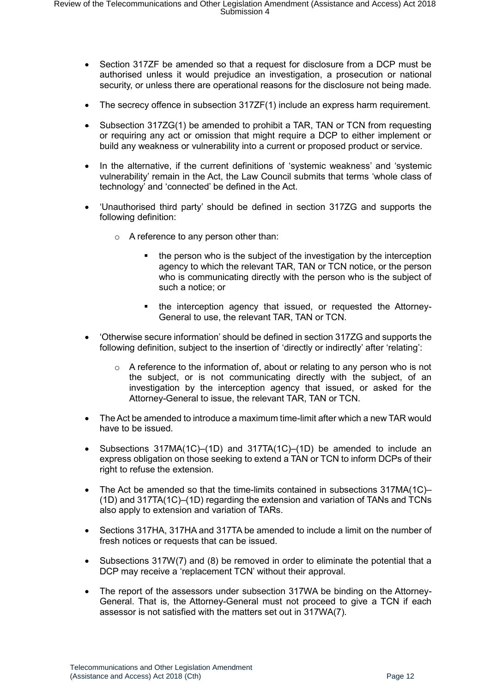- Section 317ZF be amended so that a request for disclosure from a DCP must be authorised unless it would prejudice an investigation, a prosecution or national security, or unless there are operational reasons for the disclosure not being made.
- The secrecy offence in subsection 317ZF(1) include an express harm requirement.
- Subsection 317ZG(1) be amended to prohibit a TAR, TAN or TCN from requesting or requiring any act or omission that might require a DCP to either implement or build any weakness or vulnerability into a current or proposed product or service.
- In the alternative, if the current definitions of 'systemic weakness' and 'systemic vulnerability' remain in the Act, the Law Council submits that terms 'whole class of technology' and 'connected' be defined in the Act.
- 'Unauthorised third party' should be defined in section 317ZG and supports the following definition:
	- o A reference to any person other than:
		- the person who is the subject of the investigation by the interception agency to which the relevant TAR, TAN or TCN notice, or the person who is communicating directly with the person who is the subject of such a notice; or
		- the interception agency that issued, or requested the Attorney-General to use, the relevant TAR, TAN or TCN.
- 'Otherwise secure information' should be defined in section 317ZG and supports the following definition, subject to the insertion of 'directly or indirectly' after 'relating':
	- $\circ$  A reference to the information of, about or relating to any person who is not the subject, or is not communicating directly with the subject, of an investigation by the interception agency that issued, or asked for the Attorney-General to issue, the relevant TAR, TAN or TCN.
- The Act be amended to introduce a maximum time-limit after which a new TAR would have to be issued.
- Subsections 317MA(1C)–(1D) and 317TA(1C)–(1D) be amended to include an express obligation on those seeking to extend a TAN or TCN to inform DCPs of their right to refuse the extension.
- The Act be amended so that the time-limits contained in subsections 317MA(1C)– (1D) and 317TA(1C)–(1D) regarding the extension and variation of TANs and TCNs also apply to extension and variation of TARs.
- Sections 317HA, 317HA and 317TA be amended to include a limit on the number of fresh notices or requests that can be issued.
- Subsections 317W(7) and (8) be removed in order to eliminate the potential that a DCP may receive a 'replacement TCN' without their approval.
- The report of the assessors under subsection 317WA be binding on the Attorney-General. That is, the Attorney-General must not proceed to give a TCN if each assessor is not satisfied with the matters set out in 317WA(7).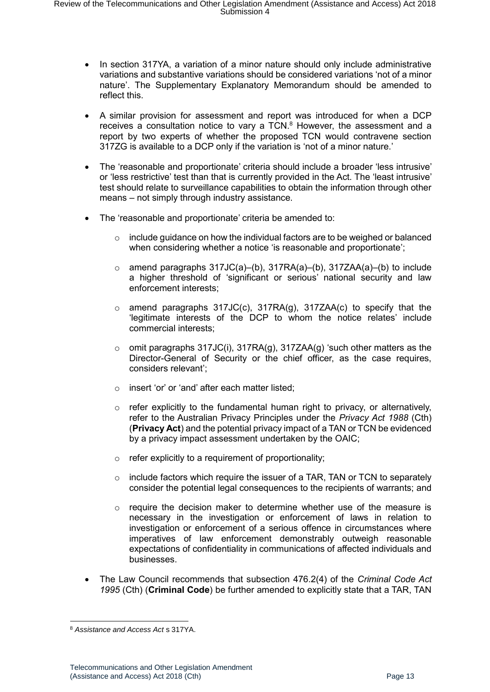- In section 317YA, a variation of a minor nature should only include administrative variations and substantive variations should be considered variations 'not of a minor nature'. The Supplementary Explanatory Memorandum should be amended to reflect this.
- A similar provision for assessment and report was introduced for when a DCP receives a consultation notice to vary a  $TCN$ .<sup>8</sup> However, the assessment and a report by two experts of whether the proposed TCN would contravene section 317ZG is available to a DCP only if the variation is 'not of a minor nature.'
- The 'reasonable and proportionate' criteria should include a broader 'less intrusive' or 'less restrictive' test than that is currently provided in the Act. The 'least intrusive' test should relate to surveillance capabilities to obtain the information through other means – not simply through industry assistance.
- The 'reasonable and proportionate' criteria be amended to:
	- $\circ$  include guidance on how the individual factors are to be weighed or balanced when considering whether a notice 'is reasonable and proportionate':
	- o amend paragraphs 317JC(a)–(b), 317RA(a)–(b), 317ZAA(a)–(b) to include a higher threshold of 'significant or serious' national security and law enforcement interests;
	- $\circ$  amend paragraphs 317JC(c), 317RA(g), 317ZAA(c) to specify that the 'legitimate interests of the DCP to whom the notice relates' include commercial interests;
	- $\circ$  omit paragraphs 317JC(i), 317RA(g), 317ZAA(g) 'such other matters as the Director-General of Security or the chief officer, as the case requires, considers relevant';
	- o insert 'or' or 'and' after each matter listed;
	- $\circ$  refer explicitly to the fundamental human right to privacy, or alternatively, refer to the Australian Privacy Principles under the *Privacy Act 1988* (Cth) (**Privacy Act**) and the potential privacy impact of a TAN or TCN be evidenced by a privacy impact assessment undertaken by the OAIC;
	- $\circ$  refer explicitly to a requirement of proportionality:
	- $\circ$  include factors which require the issuer of a TAR, TAN or TCN to separately consider the potential legal consequences to the recipients of warrants; and
	- $\circ$  require the decision maker to determine whether use of the measure is necessary in the investigation or enforcement of laws in relation to investigation or enforcement of a serious offence in circumstances where imperatives of law enforcement demonstrably outweigh reasonable expectations of confidentiality in communications of affected individuals and businesses.
- The Law Council recommends that subsection 476.2(4) of the *Criminal Code Act 1995* (Cth) (**Criminal Code**) be further amended to explicitly state that a TAR, TAN

<sup>1</sup> <sup>8</sup> *Assistance and Access Act* s 317YA.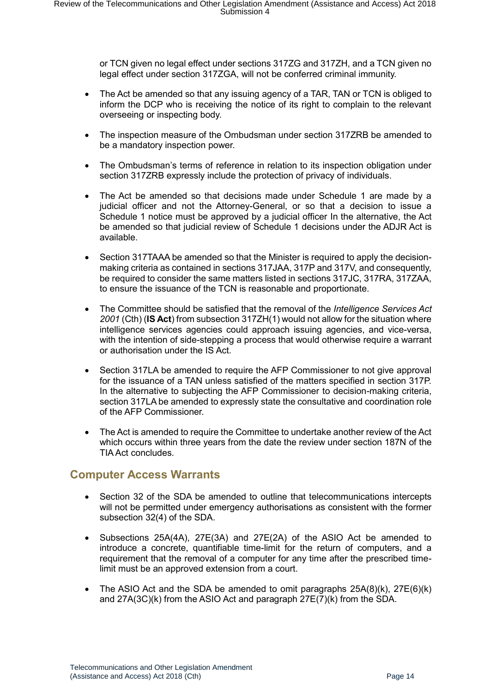or TCN given no legal effect under sections 317ZG and 317ZH, and a TCN given no legal effect under section 317ZGA, will not be conferred criminal immunity.

- The Act be amended so that any issuing agency of a TAR, TAN or TCN is obliged to inform the DCP who is receiving the notice of its right to complain to the relevant overseeing or inspecting body.
- The inspection measure of the Ombudsman under section 317ZRB be amended to be a mandatory inspection power.
- The Ombudsman's terms of reference in relation to its inspection obligation under section 317ZRB expressly include the protection of privacy of individuals.
- The Act be amended so that decisions made under Schedule 1 are made by a judicial officer and not the Attorney-General, or so that a decision to issue a Schedule 1 notice must be approved by a judicial officer In the alternative, the Act be amended so that judicial review of Schedule 1 decisions under the ADJR Act is available.
- Section 317TAAA be amended so that the Minister is required to apply the decisionmaking criteria as contained in sections 317JAA, 317P and 317V, and consequently, be required to consider the same matters listed in sections 317JC, 317RA, 317ZAA, to ensure the issuance of the TCN is reasonable and proportionate.
- The Committee should be satisfied that the removal of the *Intelligence Services Act 2001* (Cth) (**IS Act**) from subsection 317ZH(1) would not allow for the situation where intelligence services agencies could approach issuing agencies, and vice-versa, with the intention of side-stepping a process that would otherwise require a warrant or authorisation under the IS Act.
- Section 317LA be amended to require the AFP Commissioner to not give approval for the issuance of a TAN unless satisfied of the matters specified in section 317P. In the alternative to subjecting the AFP Commissioner to decision-making criteria, section 317LA be amended to expressly state the consultative and coordination role of the AFP Commissioner.
- The Act is amended to require the Committee to undertake another review of the Act which occurs within three years from the date the review under section 187N of the TIA Act concludes.

## <span id="page-13-0"></span>**Computer Access Warrants**

- Section 32 of the SDA be amended to outline that telecommunications intercepts will not be permitted under emergency authorisations as consistent with the former subsection 32(4) of the SDA.
- Subsections 25A(4A), 27E(3A) and 27E(2A) of the ASIO Act be amended to introduce a concrete, quantifiable time-limit for the return of computers, and a requirement that the removal of a computer for any time after the prescribed timelimit must be an approved extension from a court.
- The ASIO Act and the SDA be amended to omit paragraphs  $25A(8)(k)$ ,  $27E(6)(k)$ and 27A(3C)(k) from the ASIO Act and paragraph 27E(7)(k) from the SDA.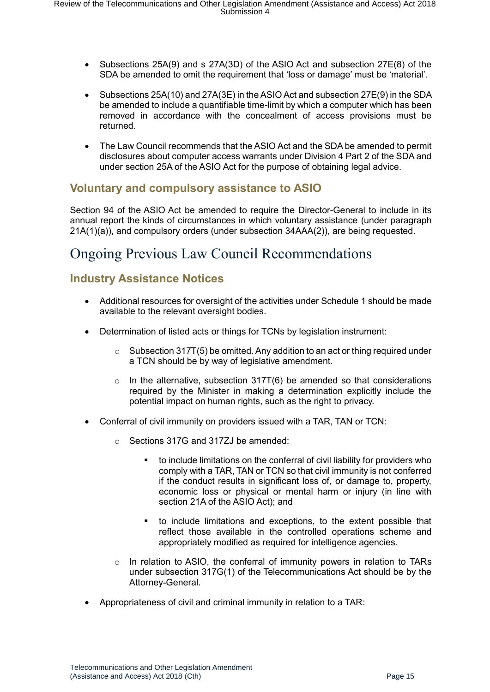- Subsections 25A(9) and s 27A(3D) of the ASIO Act and subsection 27E(8) of the SDA be amended to omit the requirement that 'loss or damage' must be 'material'.
- Subsections 25A(10) and 27A(3E) in the ASIO Act and subsection 27E(9) in the SDA be amended to include a quantifiable time-limit by which a computer which has been removed in accordance with the concealment of access provisions must be returned.
- The Law Council recommends that the ASIO Act and the SDA be amended to permit disclosures about computer access warrants under Division 4 Part 2 of the SDA and under section 25A of the ASIO Act for the purpose of obtaining legal advice.

## <span id="page-14-0"></span>**Voluntary and compulsory assistance to ASIO**

Section 94 of the ASIO Act be amended to require the Director-General to include in its annual report the kinds of circumstances in which voluntary assistance (under paragraph 21A(1)(a)), and compulsory orders (under subsection 34AAA(2)), are being requested.

# <span id="page-14-1"></span>Ongoing Previous Law Council Recommendations

## <span id="page-14-2"></span>**Industry Assistance Notices**

- Additional resources for oversight of the activities under Schedule 1 should be made available to the relevant oversight bodies.
- Determination of listed acts or things for TCNs by legislation instrument:
	- $\circ$  Subsection 317T(5) be omitted. Any addition to an act or thing required under a TCN should be by way of legislative amendment.
	- $\circ$  In the alternative, subsection 317T(6) be amended so that considerations required by the Minister in making a determination explicitly include the potential impact on human rights, such as the right to privacy.
- Conferral of civil immunity on providers issued with a TAR, TAN or TCN:
	- o Sections 317G and 317ZJ be amended:
		- to include limitations on the conferral of civil liability for providers who comply with a TAR, TAN or TCN so that civil immunity is not conferred if the conduct results in significant loss of, or damage to, property, economic loss or physical or mental harm or injury (in line with section 21A of the ASIO Act); and
		- to include limitations and exceptions, to the extent possible that reflect those available in the controlled operations scheme and appropriately modified as required for intelligence agencies.
	- o In relation to ASIO, the conferral of immunity powers in relation to TARs under subsection 317G(1) of the Telecommunications Act should be by the Attorney-General.
- Appropriateness of civil and criminal immunity in relation to a TAR: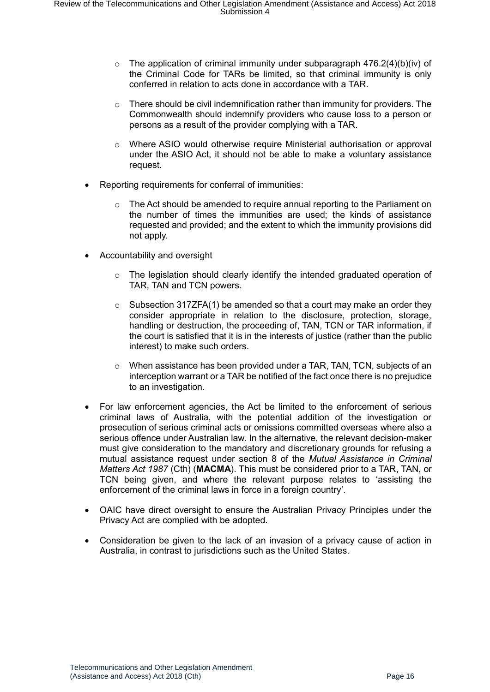- $\circ$  The application of criminal immunity under subparagraph 476.2(4)(b)(iv) of the Criminal Code for TARs be limited, so that criminal immunity is only conferred in relation to acts done in accordance with a TAR.
- $\circ$  There should be civil indemnification rather than immunity for providers. The Commonwealth should indemnify providers who cause loss to a person or persons as a result of the provider complying with a TAR.
- $\circ$  Where ASIO would otherwise require Ministerial authorisation or approval under the ASIO Act, it should not be able to make a voluntary assistance request.
- Reporting requirements for conferral of immunities:
	- $\circ$  The Act should be amended to require annual reporting to the Parliament on the number of times the immunities are used; the kinds of assistance requested and provided; and the extent to which the immunity provisions did not apply.
- Accountability and oversight
	- $\circ$  The legislation should clearly identify the intended graduated operation of TAR, TAN and TCN powers.
	- $\circ$  Subsection 317ZFA(1) be amended so that a court may make an order they consider appropriate in relation to the disclosure, protection, storage, handling or destruction, the proceeding of, TAN, TCN or TAR information, if the court is satisfied that it is in the interests of justice (rather than the public interest) to make such orders.
	- $\circ$  When assistance has been provided under a TAR, TAN, TCN, subjects of an interception warrant or a TAR be notified of the fact once there is no prejudice to an investigation.
- For law enforcement agencies, the Act be limited to the enforcement of serious criminal laws of Australia, with the potential addition of the investigation or prosecution of serious criminal acts or omissions committed overseas where also a serious offence under Australian law. In the alternative, the relevant decision-maker must give consideration to the mandatory and discretionary grounds for refusing a mutual assistance request under section 8 of the *Mutual Assistance in Criminal Matters Act 1987* (Cth) (**MACMA**). This must be considered prior to a TAR, TAN, or TCN being given, and where the relevant purpose relates to 'assisting the enforcement of the criminal laws in force in a foreign country'.
- OAIC have direct oversight to ensure the Australian Privacy Principles under the Privacy Act are complied with be adopted.
- Consideration be given to the lack of an invasion of a privacy cause of action in Australia, in contrast to jurisdictions such as the United States.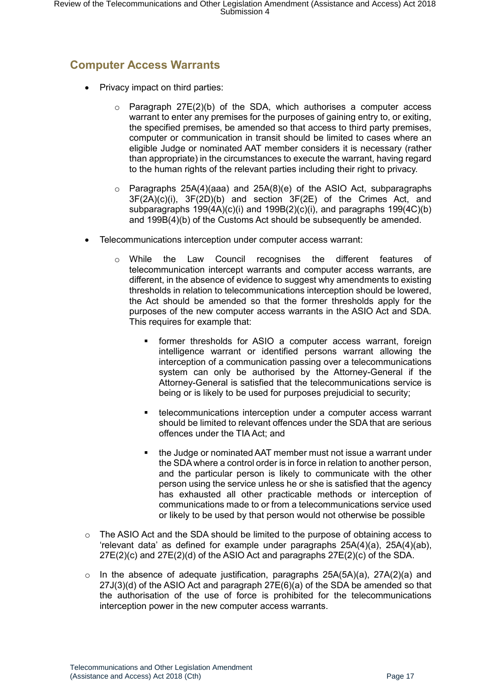# <span id="page-16-0"></span>**Computer Access Warrants**

- Privacy impact on third parties:
	- $\circ$  Paragraph 27E(2)(b) of the SDA, which authorises a computer access warrant to enter any premises for the purposes of gaining entry to, or exiting, the specified premises, be amended so that access to third party premises, computer or communication in transit should be limited to cases where an eligible Judge or nominated AAT member considers it is necessary (rather than appropriate) in the circumstances to execute the warrant, having regard to the human rights of the relevant parties including their right to privacy.
	- $\circ$  Paragraphs 25A(4)(aaa) and 25A(8)(e) of the ASIO Act, subparagraphs 3F(2A)(c)(i), 3F(2D)(b) and section 3F(2E) of the Crimes Act, and subparagraphs 199(4A)(c)(i) and 199B(2)(c)(i), and paragraphs 199(4C)(b) and 199B(4)(b) of the Customs Act should be subsequently be amended.
- Telecommunications interception under computer access warrant:
	- o While the Law Council recognises the different features of telecommunication intercept warrants and computer access warrants, are different, in the absence of evidence to suggest why amendments to existing thresholds in relation to telecommunications interception should be lowered, the Act should be amended so that the former thresholds apply for the purposes of the new computer access warrants in the ASIO Act and SDA. This requires for example that:
		- former thresholds for ASIO a computer access warrant, foreign intelligence warrant or identified persons warrant allowing the interception of a communication passing over a telecommunications system can only be authorised by the Attorney-General if the Attorney-General is satisfied that the telecommunications service is being or is likely to be used for purposes prejudicial to security;
		- telecommunications interception under a computer access warrant should be limited to relevant offences under the SDA that are serious offences under the TIA Act; and
		- the Judge or nominated AAT member must not issue a warrant under the SDA where a control order is in force in relation to another person, and the particular person is likely to communicate with the other person using the service unless he or she is satisfied that the agency has exhausted all other practicable methods or interception of communications made to or from a telecommunications service used or likely to be used by that person would not otherwise be possible
- $\circ$  The ASIO Act and the SDA should be limited to the purpose of obtaining access to 'relevant data' as defined for example under paragraphs 25A(4)(a), 25A(4)(ab),  $27E(2)(c)$  and  $27E(2)(d)$  of the ASIO Act and paragraphs  $27E(2)(c)$  of the SDA.
- $\circ$  In the absence of adequate justification, paragraphs 25A(5A)(a), 27A(2)(a) and 27J(3)(d) of the ASIO Act and paragraph 27E(6)(a) of the SDA be amended so that the authorisation of the use of force is prohibited for the telecommunications interception power in the new computer access warrants.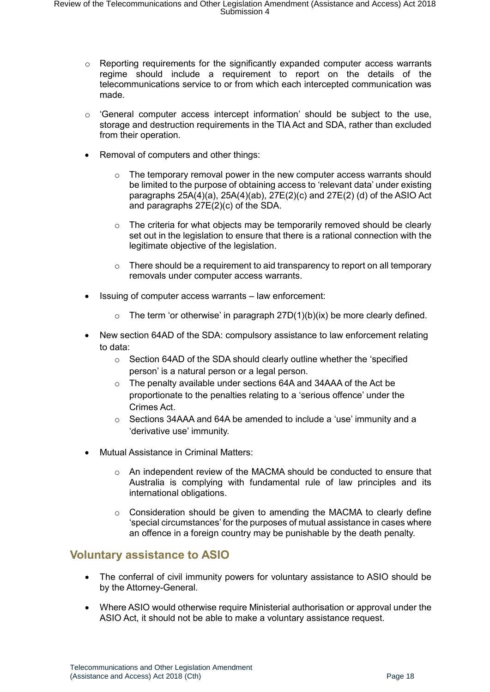- o Reporting requirements for the significantly expanded computer access warrants regime should include a requirement to report on the details of the telecommunications service to or from which each intercepted communication was made.
- $\circ$  'General computer access intercept information' should be subject to the use, storage and destruction requirements in the TIA Act and SDA, rather than excluded from their operation.
- Removal of computers and other things:
	- $\circ$  The temporary removal power in the new computer access warrants should be limited to the purpose of obtaining access to 'relevant data' under existing paragraphs  $25A(4)(a)$ ,  $25A(4)(ab)$ ,  $27E(2)(c)$  and  $27E(2)(d)$  of the ASIO Act and paragraphs 27E(2)(c) of the SDA.
	- $\circ$  The criteria for what objects may be temporarily removed should be clearly set out in the legislation to ensure that there is a rational connection with the legitimate objective of the legislation.
	- $\circ$  There should be a requirement to aid transparency to report on all temporary removals under computer access warrants.
- Issuing of computer access warrants law enforcement:
	- $\circ$  The term 'or otherwise' in paragraph 27D(1)(b)(ix) be more clearly defined.
- New section 64AD of the SDA: compulsory assistance to law enforcement relating to data:
	- o Section 64AD of the SDA should clearly outline whether the 'specified person' is a natural person or a legal person.
	- o The penalty available under sections 64A and 34AAA of the Act be proportionate to the penalties relating to a 'serious offence' under the Crimes Act.
	- $\circ$  Sections 34AAA and 64A be amended to include a 'use' immunity and a 'derivative use' immunity.
- Mutual Assistance in Criminal Matters:
	- o An independent review of the MACMA should be conducted to ensure that Australia is complying with fundamental rule of law principles and its international obligations.
	- $\circ$  Consideration should be given to amending the MACMA to clearly define 'special circumstances' for the purposes of mutual assistance in cases where an offence in a foreign country may be punishable by the death penalty.

## <span id="page-17-0"></span>**Voluntary assistance to ASIO**

- The conferral of civil immunity powers for voluntary assistance to ASIO should be by the Attorney-General.
- Where ASIO would otherwise require Ministerial authorisation or approval under the ASIO Act, it should not be able to make a voluntary assistance request.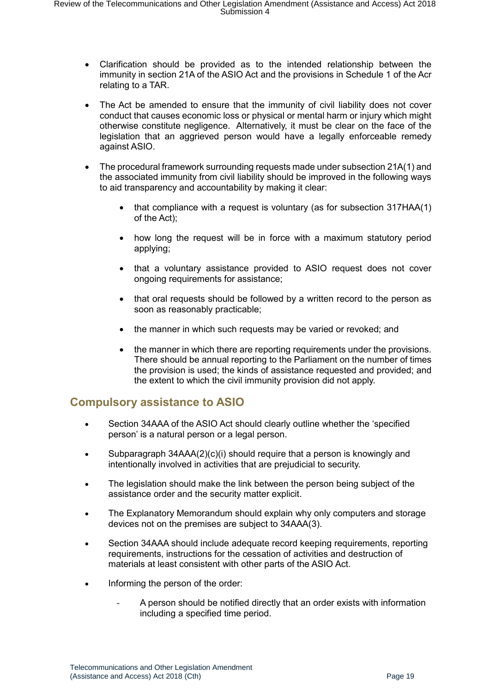- Clarification should be provided as to the intended relationship between the immunity in section 21A of the ASIO Act and the provisions in Schedule 1 of the Acr relating to a TAR.
- The Act be amended to ensure that the immunity of civil liability does not cover conduct that causes economic loss or physical or mental harm or injury which might otherwise constitute negligence. Alternatively, it must be clear on the face of the legislation that an aggrieved person would have a legally enforceable remedy against ASIO.
- The procedural framework surrounding requests made under subsection 21A(1) and the associated immunity from civil liability should be improved in the following ways to aid transparency and accountability by making it clear:
	- that compliance with a request is voluntary (as for subsection 317HAA(1) of the Act);
	- how long the request will be in force with a maximum statutory period applying;
	- that a voluntary assistance provided to ASIO request does not cover ongoing requirements for assistance;
	- that oral requests should be followed by a written record to the person as soon as reasonably practicable;
	- the manner in which such requests may be varied or revoked; and
	- the manner in which there are reporting requirements under the provisions. There should be annual reporting to the Parliament on the number of times the provision is used; the kinds of assistance requested and provided; and the extent to which the civil immunity provision did not apply.

## <span id="page-18-0"></span>**Compulsory assistance to ASIO**

- Section 34AAA of the ASIO Act should clearly outline whether the 'specified person' is a natural person or a legal person.
- Subparagraph 34AAA(2)(c)(i) should require that a person is knowingly and intentionally involved in activities that are prejudicial to security.
- The legislation should make the link between the person being subject of the assistance order and the security matter explicit.
- The Explanatory Memorandum should explain why only computers and storage devices not on the premises are subject to 34AAA(3).
- Section 34AAA should include adequate record keeping requirements, reporting requirements, instructions for the cessation of activities and destruction of materials at least consistent with other parts of the ASIO Act.
- Informing the person of the order:
	- A person should be notified directly that an order exists with information including a specified time period.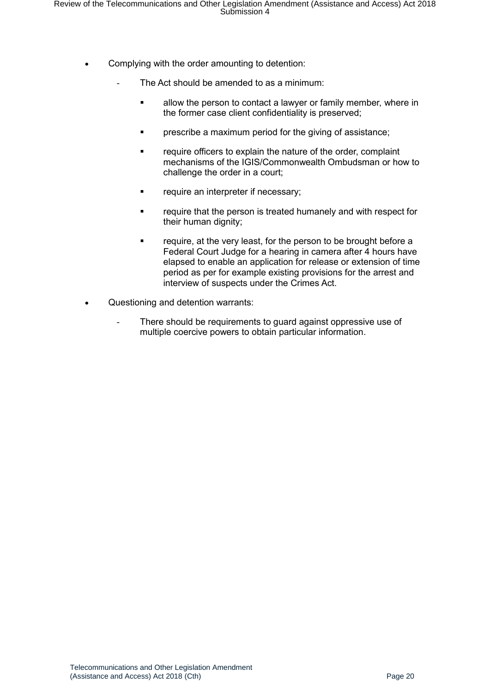- Complying with the order amounting to detention:
	- The Act should be amended to as a minimum:
		- **■** allow the person to contact a lawyer or family member, where in the former case client confidentiality is preserved;
		- **•** prescribe a maximum period for the giving of assistance;
		- require officers to explain the nature of the order, complaint mechanisms of the IGIS/Commonwealth Ombudsman or how to challenge the order in a court;
		- **•** require an interpreter if necessary;
		- require that the person is treated humanely and with respect for their human dignity;
		- require, at the very least, for the person to be brought before a Federal Court Judge for a hearing in camera after 4 hours have elapsed to enable an application for release or extension of time period as per for example existing provisions for the arrest and interview of suspects under the Crimes Act.
- Questioning and detention warrants:
	- There should be requirements to quard against oppressive use of multiple coercive powers to obtain particular information.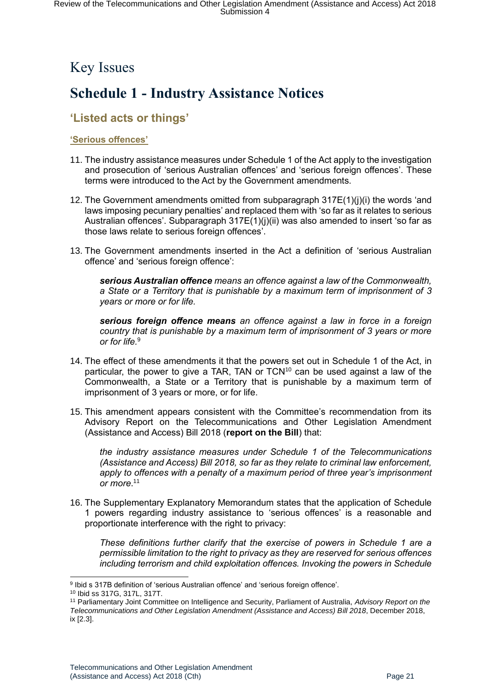# <span id="page-20-0"></span>Key Issues

# <span id="page-20-1"></span>**Schedule 1 - Industry Assistance Notices**

## <span id="page-20-2"></span>**'Listed acts or things'**

#### <span id="page-20-3"></span>**'Serious offences'**

- 11. The industry assistance measures under Schedule 1 of the Act apply to the investigation and prosecution of 'serious Australian offences' and 'serious foreign offences'. These terms were introduced to the Act by the Government amendments.
- 12. The Government amendments omitted from subparagraph 317E(1)(j)(i) the words 'and laws imposing pecuniary penalties' and replaced them with 'so far as it relates to serious Australian offences'. Subparagraph 317E(1)(j)(ii) was also amended to insert 'so far as those laws relate to serious foreign offences'.
- 13. The Government amendments inserted in the Act a definition of 'serious Australian offence' and 'serious foreign offence':

*serious Australian offence means an offence against a law of the Commonwealth, a State or a Territory that is punishable by a maximum term of imprisonment of 3 years or more or for life.*

*serious foreign offence means an offence against a law in force in a foreign country that is punishable by a maximum term of imprisonment of 3 years or more or for life.*<sup>9</sup>

- 14. The effect of these amendments it that the powers set out in Schedule 1 of the Act, in particular, the power to give a TAR, TAN or  $TCN^{10}$  can be used against a law of the Commonwealth, a State or a Territory that is punishable by a maximum term of imprisonment of 3 years or more, or for life.
- 15. This amendment appears consistent with the Committee's recommendation from its Advisory Report on the Telecommunications and Other Legislation Amendment (Assistance and Access) Bill 2018 (**report on the Bill**) that:

*the industry assistance measures under Schedule 1 of the Telecommunications (Assistance and Access) Bill 2018, so far as they relate to criminal law enforcement, apply to offences with a penalty of a maximum period of three year's imprisonment or more*. 11

16. The Supplementary Explanatory Memorandum states that the application of Schedule 1 powers regarding industry assistance to 'serious offences' is a reasonable and proportionate interference with the right to privacy:

*These definitions further clarify that the exercise of powers in Schedule 1 are a permissible limitation to the right to privacy as they are reserved for serious offences including terrorism and child exploitation offences. Invoking the powers in Schedule* 

<sup>1</sup> <sup>9</sup> Ibid s 317B definition of 'serious Australian offence' and 'serious foreign offence'.

<sup>10</sup> Ibid ss 317G, 317L, 317T.

<sup>11</sup> Parliamentary Joint Committee on Intelligence and Security, Parliament of Australia, *Advisory Report on the Telecommunications and Other Legislation Amendment (Assistance and Access) Bill 2018*, December 2018, ix [2.3].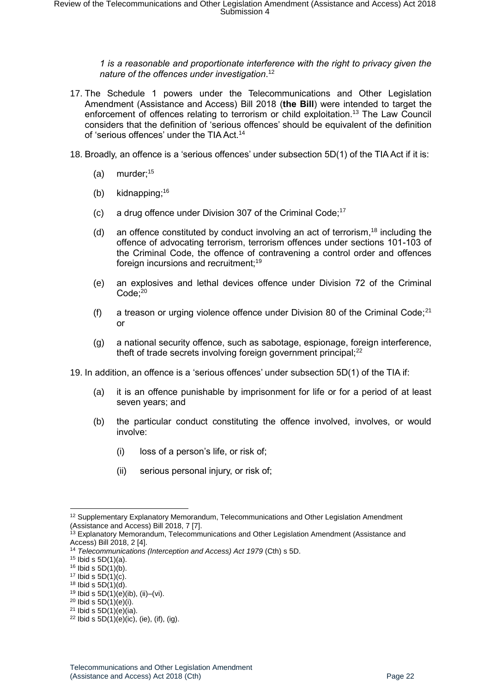*1 is a reasonable and proportionate interference with the right to privacy given the nature of the offences under investigation*. 12

- 17. The Schedule 1 powers under the Telecommunications and Other Legislation Amendment (Assistance and Access) Bill 2018 (**the Bill**) were intended to target the enforcement of offences relating to terrorism or child exploitation. <sup>13</sup> The Law Council considers that the definition of 'serious offences' should be equivalent of the definition of 'serious offences' under the TIA Act.<sup>14</sup>
- 18. Broadly, an offence is a 'serious offences' under subsection 5D(1) of the TIA Act if it is:
	- (a) murder; $15$
	- (b) kidnapping; 16
	- (c) a drug offence under Division 307 of the Criminal Code; 17
	- (d) an offence constituted by conduct involving an act of terrorism,<sup>18</sup> including the offence of advocating terrorism, terrorism offences under sections 101-103 of the Criminal Code, the offence of contravening a control order and offences foreign incursions and recruitment;<sup>19</sup>
	- (e) an explosives and lethal devices offence under Division 72 of the Criminal Code:<sup>20</sup>
	- (f) a treason or urging violence offence under Division 80 of the Criminal Code; $^{21}$ or
	- (g) a national security offence, such as sabotage, espionage, foreign interference, theft of trade secrets involving foreign government principal; $^{22}$

19. In addition, an offence is a 'serious offences' under subsection 5D(1) of the TIA if:

- (a) it is an offence punishable by imprisonment for life or for a period of at least seven years; and
- (b) the particular conduct constituting the offence involved, involves, or would involve:
	- (i) loss of a person's life, or risk of;
	- (ii) serious personal injury, or risk of;

<sup>1</sup>  $12$  Supplementary Explanatory Memorandum, Telecommunications and Other Legislation Amendment (Assistance and Access) Bill 2018, 7 [7].

<sup>&</sup>lt;sup>13</sup> Explanatory Memorandum, Telecommunications and Other Legislation Amendment (Assistance and Access) Bill 2018, 2 [4].

<sup>14</sup> *Telecommunications (Interception and Access) Act 1979* (Cth) s 5D.

 $15$  Ibid s  $5D(1)(a)$ .

 $16$  Ibid s  $5D(1)(b)$ .

 $17$  Ibid s  $5D(1)(c)$ .

 $18$  Ibid s  $5D(1)(d)$ .

<sup>&</sup>lt;sup>19</sup> Ibid s  $5D(1)(e)(ib)$ , (ii)–(vi).

 $^{20}$  Ibid s  $5D(1)(e)(i)$ .

 $21$  Ibid s  $5D(1)(e)(ia)$ .

 $22$  Ibid s  $5D(1)(e)(ic)$ , (ie), (if), (ig).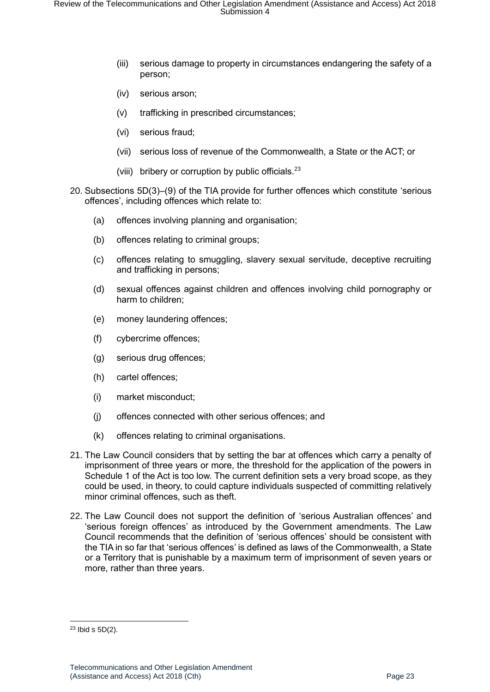- (iii) serious damage to property in circumstances endangering the safety of a person;
- (iv) serious arson;
- (v) trafficking in prescribed circumstances;
- (vi) serious fraud;
- (vii) serious loss of revenue of the Commonwealth, a State or the ACT; or
- (viii) bribery or corruption by public officials. $^{23}$
- 20. Subsections 5D(3)–(9) of the TIA provide for further offences which constitute 'serious offences', including offences which relate to:
	- (a) offences involving planning and organisation;
	- (b) offences relating to criminal groups;
	- (c) offences relating to smuggling, slavery sexual servitude, deceptive recruiting and trafficking in persons;
	- (d) sexual offences against children and offences involving child pornography or harm to children;
	- (e) money laundering offences;
	- (f) cybercrime offences;
	- (g) serious drug offences;
	- (h) cartel offences;
	- (i) market misconduct;
	- (j) offences connected with other serious offences; and
	- (k) offences relating to criminal organisations.
- 21. The Law Council considers that by setting the bar at offences which carry a penalty of imprisonment of three years or more, the threshold for the application of the powers in Schedule 1 of the Act is too low. The current definition sets a very broad scope, as they could be used, in theory, to could capture individuals suspected of committing relatively minor criminal offences, such as theft.
- 22. The Law Council does not support the definition of 'serious Australian offences' and 'serious foreign offences' as introduced by the Government amendments. The Law Council recommends that the definition of 'serious offences' should be consistent with the TIA in so far that 'serious offences' is defined as laws of the Commonwealth, a State or a Territory that is punishable by a maximum term of imprisonment of seven years or more, rather than three years.

 $23$  Ibid s  $5D(2)$ .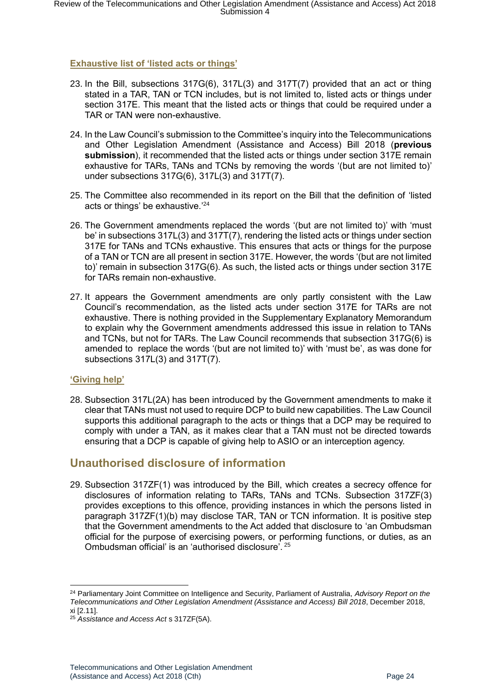#### <span id="page-23-0"></span>**Exhaustive list of 'listed acts or things'**

- 23. In the Bill, subsections 317G(6), 317L(3) and 317T(7) provided that an act or thing stated in a TAR, TAN or TCN includes, but is not limited to, listed acts or things under section 317E. This meant that the listed acts or things that could be required under a TAR or TAN were non-exhaustive.
- 24. In the Law Council's submission to the Committee's inquiry into the Telecommunications and Other Legislation Amendment (Assistance and Access) Bill 2018 (**previous submission**), it recommended that the listed acts or things under section 317E remain exhaustive for TARs, TANs and TCNs by removing the words '(but are not limited to)' under subsections 317G(6), 317L(3) and 317T(7).
- 25. The Committee also recommended in its report on the Bill that the definition of 'listed acts or things' be exhaustive.'<sup>24</sup>
- 26. The Government amendments replaced the words '(but are not limited to)' with 'must be' in subsections 317L(3) and 317T(7), rendering the listed acts or things under section 317E for TANs and TCNs exhaustive. This ensures that acts or things for the purpose of a TAN or TCN are all present in section 317E. However, the words '(but are not limited to)' remain in subsection 317G(6). As such, the listed acts or things under section 317E for TARs remain non-exhaustive.
- 27. It appears the Government amendments are only partly consistent with the Law Council's recommendation, as the listed acts under section 317E for TARs are not exhaustive. There is nothing provided in the Supplementary Explanatory Memorandum to explain why the Government amendments addressed this issue in relation to TANs and TCNs, but not for TARs. The Law Council recommends that subsection 317G(6) is amended to replace the words '(but are not limited to)' with 'must be', as was done for subsections 317L(3) and 317T(7).

#### <span id="page-23-1"></span>**'Giving help'**

-

28. Subsection 317L(2A) has been introduced by the Government amendments to make it clear that TANs must not used to require DCP to build new capabilities. The Law Council supports this additional paragraph to the acts or things that a DCP may be required to comply with under a TAN, as it makes clear that a TAN must not be directed towards ensuring that a DCP is capable of giving help to ASIO or an interception agency.

#### <span id="page-23-2"></span>**Unauthorised disclosure of information**

29. Subsection 317ZF(1) was introduced by the Bill, which creates a secrecy offence for disclosures of information relating to TARs, TANs and TCNs. Subsection 317ZF(3) provides exceptions to this offence, providing instances in which the persons listed in paragraph 317ZF(1)(b) may disclose TAR, TAN or TCN information. It is positive step that the Government amendments to the Act added that disclosure to 'an Ombudsman official for the purpose of exercising powers, or performing functions, or duties, as an Ombudsman official' is an 'authorised disclosure'. <sup>25</sup>

<sup>24</sup> Parliamentary Joint Committee on Intelligence and Security, Parliament of Australia, *Advisory Report on the Telecommunications and Other Legislation Amendment (Assistance and Access) Bill 2018*, December 2018, xi [2.11].

<sup>25</sup> *Assistance and Access Act* s 317ZF(5A).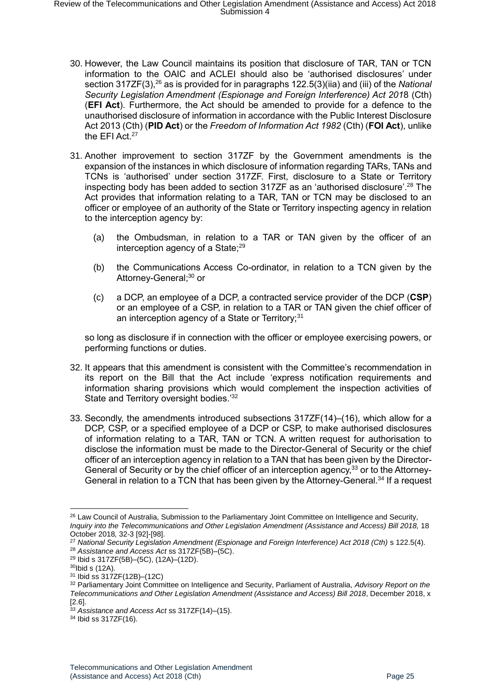- 30. However, the Law Council maintains its position that disclosure of TAR, TAN or TCN information to the OAIC and ACLEI should also be 'authorised disclosures' under section 317ZF(3),<sup>26</sup> as is provided for in paragraphs 122.5(3)(iia) and (iii) of the *National Security Legislation Amendment (Espionage and Foreign Interference) Act 201*8 (Cth) (**EFI Act**). Furthermore, the Act should be amended to provide for a defence to the unauthorised disclosure of information in accordance with the Public Interest Disclosure Act 2013 (Cth) (**PID Act**) or the *Freedom of Information Act 1982* (Cth) (**FOI Act**), unlike the EFI Act.<sup>27</sup>
- 31. Another improvement to section 317ZF by the Government amendments is the expansion of the instances in which disclosure of information regarding TARs, TANs and TCNs is 'authorised' under section 317ZF. First, disclosure to a State or Territory inspecting body has been added to section 317ZF as an 'authorised disclosure'. <sup>28</sup> The Act provides that information relating to a TAR, TAN or TCN may be disclosed to an officer or employee of an authority of the State or Territory inspecting agency in relation to the interception agency by:
	- (a) the Ombudsman, in relation to a TAR or TAN given by the officer of an interception agency of a State;<sup>29</sup>
	- (b) the Communications Access Co-ordinator, in relation to a TCN given by the Attorney-General;<sup>30</sup> or
	- (c) a DCP, an employee of a DCP, a contracted service provider of the DCP (**CSP**) or an employee of a CSP, in relation to a TAR or TAN given the chief officer of an interception agency of a State or Territory;<sup>31</sup>

so long as disclosure if in connection with the officer or employee exercising powers, or performing functions or duties.

- 32. It appears that this amendment is consistent with the Committee's recommendation in its report on the Bill that the Act include 'express notification requirements and information sharing provisions which would complement the inspection activities of State and Territory oversight bodies.<sup>'32</sup>
- 33. Secondly, the amendments introduced subsections 317ZF(14)–(16), which allow for a DCP, CSP, or a specified employee of a DCP or CSP, to make authorised disclosures of information relating to a TAR, TAN or TCN. A written request for authorisation to disclose the information must be made to the Director-General of Security or the chief officer of an interception agency in relation to a TAN that has been given by the Director-General of Security or by the chief officer of an interception agency,<sup>33</sup> or to the Attorney-General in relation to a TCN that has been given by the Attorney-General.<sup>34</sup> If a request

<sup>1</sup> <sup>26</sup> Law Council of Australia, Submission to the Parliamentary Joint Committee on Intelligence and Security*,*  Inquiry into the Telecommunications and Other Legislation Amendment (Assistance and Access) Bill 2018, 18 October 2018*,* 32-3 [92]-[98].

<sup>27</sup> *National Security Legislation Amendment (Espionage and Foreign Interference) Act 2018 (Cth)* s 122.5(4). <sup>28</sup> *Assistance and Access Act* ss 317ZF(5B)–(5C).

<sup>29</sup> Ibid s 317ZF(5B)–(5C), (12A)–(12D).

<sup>30</sup>Ibid s (12A).

<sup>31</sup> Ibid ss 317ZF(12B)–(12C)

<sup>32</sup> Parliamentary Joint Committee on Intelligence and Security, Parliament of Australia, *Advisory Report on the Telecommunications and Other Legislation Amendment (Assistance and Access) Bill 2018*, December 2018, x [2.6].

<sup>33</sup> *Assistance and Access Act* ss 317ZF(14)–(15).

<sup>34</sup> Ibid ss 317ZF(16).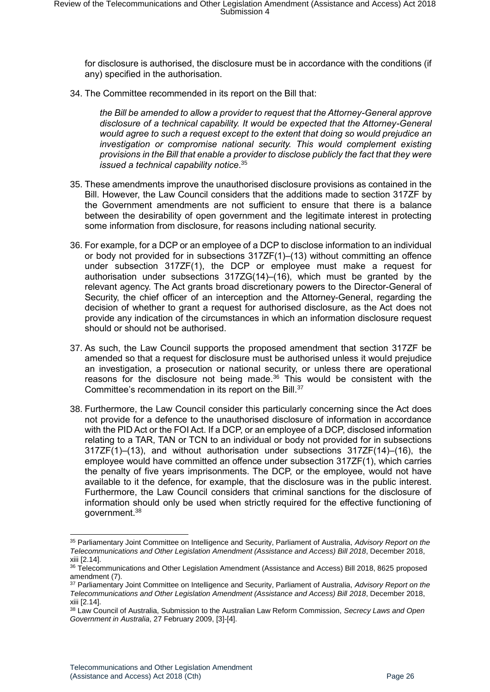for disclosure is authorised, the disclosure must be in accordance with the conditions (if any) specified in the authorisation.

34. The Committee recommended in its report on the Bill that:

*the Bill be amended to allow a provider to request that the Attorney-General approve disclosure of a technical capability. It would be expected that the Attorney-General would agree to such a request except to the extent that doing so would prejudice an investigation or compromise national security. This would complement existing provisions in the Bill that enable a provider to disclose publicly the fact that they were issued a technical capability notice*. 35

- 35. These amendments improve the unauthorised disclosure provisions as contained in the Bill. However, the Law Council considers that the additions made to section 317ZF by the Government amendments are not sufficient to ensure that there is a balance between the desirability of open government and the legitimate interest in protecting some information from disclosure, for reasons including national security.
- 36. For example, for a DCP or an employee of a DCP to disclose information to an individual or body not provided for in subsections  $317ZF(1)–(13)$  without committing an offence under subsection 317ZF(1), the DCP or employee must make a request for authorisation under subsections 317ZG(14)–(16), which must be granted by the relevant agency. The Act grants broad discretionary powers to the Director-General of Security, the chief officer of an interception and the Attorney-General, regarding the decision of whether to grant a request for authorised disclosure, as the Act does not provide any indication of the circumstances in which an information disclosure request should or should not be authorised.
- 37. As such, the Law Council supports the proposed amendment that section 317ZF be amended so that a request for disclosure must be authorised unless it would prejudice an investigation, a prosecution or national security, or unless there are operational reasons for the disclosure not being made. $36$  This would be consistent with the Committee's recommendation in its report on the Bill.<sup>37</sup>
- 38. Furthermore, the Law Council consider this particularly concerning since the Act does not provide for a defence to the unauthorised disclosure of information in accordance with the PID Act or the FOI Act. If a DCP, or an employee of a DCP, disclosed information relating to a TAR, TAN or TCN to an individual or body not provided for in subsections 317ZF(1)–(13), and without authorisation under subsections 317ZF(14)–(16), the employee would have committed an offence under subsection 317ZF(1), which carries the penalty of five years imprisonments. The DCP, or the employee, would not have available to it the defence, for example, that the disclosure was in the public interest. Furthermore, the Law Council considers that criminal sanctions for the disclosure of information should only be used when strictly required for the effective functioning of government.<sup>38</sup>

<sup>35</sup> Parliamentary Joint Committee on Intelligence and Security, Parliament of Australia, *Advisory Report on the Telecommunications and Other Legislation Amendment (Assistance and Access) Bill 2018*, December 2018, xiii [2.14].

<sup>36</sup> Telecommunications and Other Legislation Amendment (Assistance and Access) Bill 2018, 8625 proposed amendment (7).

<sup>37</sup> Parliamentary Joint Committee on Intelligence and Security, Parliament of Australia, *Advisory Report on the Telecommunications and Other Legislation Amendment (Assistance and Access) Bill 2018*, December 2018, xiii [2.14].

<sup>38</sup> Law Council of Australia, Submission to the Australian Law Reform Commission, *Secrecy Laws and Open Government in Australia*, 27 February 2009, [3]-[4].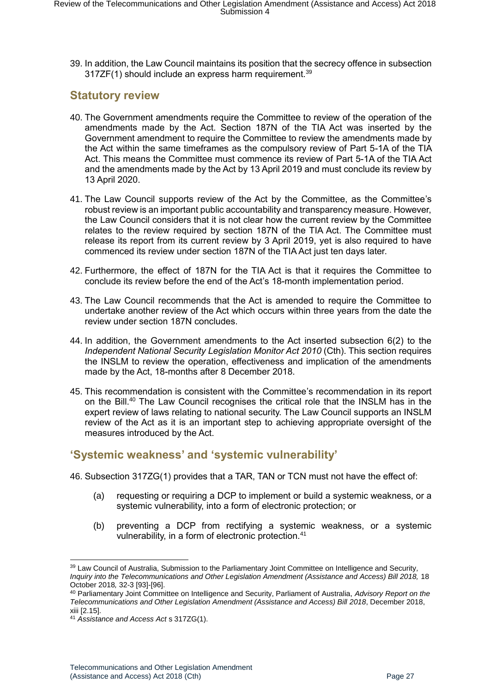39. In addition, the Law Council maintains its position that the secrecy offence in subsection  $317ZF(1)$  should include an express harm requirement.<sup>39</sup>

## <span id="page-26-0"></span>**Statutory review**

- 40. The Government amendments require the Committee to review of the operation of the amendments made by the Act. Section 187N of the TIA Act was inserted by the Government amendment to require the Committee to review the amendments made by the Act within the same timeframes as the compulsory review of Part 5-1A of the TIA Act. This means the Committee must commence its review of Part 5-1A of the TIA Act and the amendments made by the Act by 13 April 2019 and must conclude its review by 13 April 2020.
- 41. The Law Council supports review of the Act by the Committee, as the Committee's robust review is an important public accountability and transparency measure. However, the Law Council considers that it is not clear how the current review by the Committee relates to the review required by section 187N of the TIA Act. The Committee must release its report from its current review by 3 April 2019, yet is also required to have commenced its review under section 187N of the TIA Act just ten days later.
- 42. Furthermore, the effect of 187N for the TIA Act is that it requires the Committee to conclude its review before the end of the Act's 18-month implementation period.
- 43. The Law Council recommends that the Act is amended to require the Committee to undertake another review of the Act which occurs within three years from the date the review under section 187N concludes.
- 44. In addition, the Government amendments to the Act inserted subsection 6(2) to the *Independent National Security Legislation Monitor Act 2010* (Cth). This section requires the INSLM to review the operation, effectiveness and implication of the amendments made by the Act, 18-months after 8 December 2018.
- 45. This recommendation is consistent with the Committee's recommendation in its report on the Bill.<sup>40</sup> The Law Council recognises the critical role that the INSLM has in the expert review of laws relating to national security. The Law Council supports an INSLM review of the Act as it is an important step to achieving appropriate oversight of the measures introduced by the Act.

## <span id="page-26-1"></span>**'Systemic weakness' and 'systemic vulnerability'**

- 46. Subsection 317ZG(1) provides that a TAR, TAN or TCN must not have the effect of:
	- (a) requesting or requiring a DCP to implement or build a systemic weakness, or a systemic vulnerability, into a form of electronic protection; or
	- (b) preventing a DCP from rectifying a systemic weakness, or a systemic vulnerability, in a form of electronic protection.<sup>41</sup>

<sup>-</sup><sup>39</sup> Law Council of Australia, Submission to the Parliamentary Joint Committee on Intelligence and Security*, Inquiry into the Telecommunications and Other Legislation Amendment (Assistance and Access) Bill 2018, 18* October 2018*,* 32-3 [93]-[96].

<sup>40</sup> Parliamentary Joint Committee on Intelligence and Security, Parliament of Australia, *Advisory Report on the Telecommunications and Other Legislation Amendment (Assistance and Access) Bill 2018*, December 2018, xiii [2.15].

<sup>41</sup> *Assistance and Access Act* s 317ZG(1).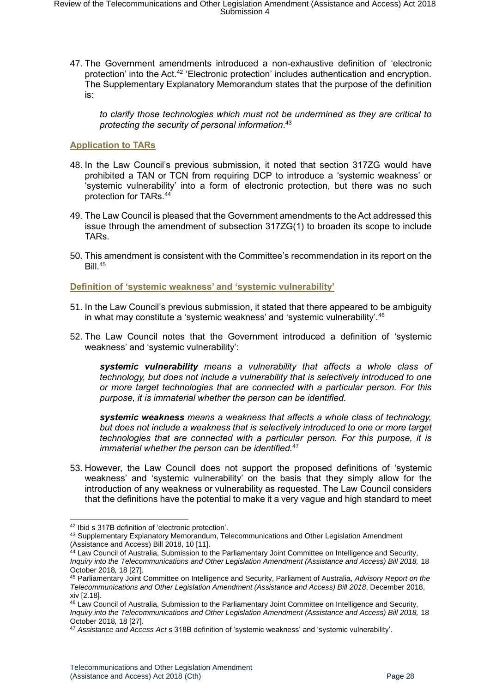47. The Government amendments introduced a non-exhaustive definition of 'electronic protection' into the Act.<sup>42</sup> 'Electronic protection' includes authentication and encryption. The Supplementary Explanatory Memorandum states that the purpose of the definition is:

*to clarify those technologies which must not be undermined as they are critical to protecting the security of personal information*. 43

#### <span id="page-27-0"></span>**Application to TARs**

- 48. In the Law Council's previous submission, it noted that section 317ZG would have prohibited a TAN or TCN from requiring DCP to introduce a 'systemic weakness' or 'systemic vulnerability' into a form of electronic protection, but there was no such protection for TARs.<sup>44</sup>
- 49. The Law Council is pleased that the Government amendments to the Act addressed this issue through the amendment of subsection 317ZG(1) to broaden its scope to include TARs.
- 50. This amendment is consistent with the Committee's recommendation in its report on the  $Bill.<sup>45</sup>$

<span id="page-27-1"></span>**Definition of 'systemic weakness' and 'systemic vulnerability'**

- 51. In the Law Council's previous submission, it stated that there appeared to be ambiguity in what may constitute a 'systemic weakness' and 'systemic vulnerability'.<sup>46</sup>
- 52. The Law Council notes that the Government introduced a definition of 'systemic weakness' and 'systemic vulnerability':

*systemic vulnerability means a vulnerability that affects a whole class of technology, but does not include a vulnerability that is selectively introduced to one or more target technologies that are connected with a particular person. For this purpose, it is immaterial whether the person can be identified.* 

*systemic weakness means a weakness that affects a whole class of technology, but does not include a weakness that is selectively introduced to one or more target technologies that are connected with a particular person. For this purpose, it is immaterial whether the person can be identified.*<sup>47</sup>

53. However, the Law Council does not support the proposed definitions of 'systemic weakness' and 'systemic vulnerability' on the basis that they simply allow for the introduction of any weakness or vulnerability as requested. The Law Council considers that the definitions have the potential to make it a very vague and high standard to meet

<sup>-</sup><sup>42</sup> Ibid s 317B definition of 'electronic protection'.

<sup>43</sup> Supplementary Explanatory Memorandum, Telecommunications and Other Legislation Amendment (Assistance and Access) Bill 2018, 10 [11].

<sup>44</sup> Law Council of Australia, Submission to the Parliamentary Joint Committee on Intelligence and Security*, Inquiry into the Telecommunications and Other Legislation Amendment (Assistance and Access) Bill 2018, 18* October 2018*,* 18 [27].

<sup>45</sup> Parliamentary Joint Committee on Intelligence and Security, Parliament of Australia, *Advisory Report on the Telecommunications and Other Legislation Amendment (Assistance and Access) Bill 2018*, December 2018, xiv [2.18].

<sup>46</sup> Law Council of Australia, Submission to the Parliamentary Joint Committee on Intelligence and Security*, Inquiry into the Telecommunications and Other Legislation Amendment (Assistance and Access) Bill 2018, 18* October 2018*,* 18 [27].

<sup>47</sup> *Assistance and Access Act* s 318B definition of 'systemic weakness' and 'systemic vulnerability'.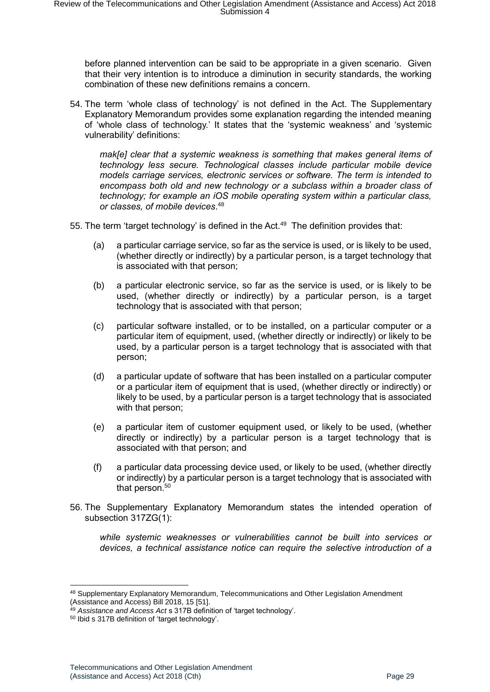before planned intervention can be said to be appropriate in a given scenario. Given that their very intention is to introduce a diminution in security standards, the working combination of these new definitions remains a concern.

54. The term 'whole class of technology' is not defined in the Act. The Supplementary Explanatory Memorandum provides some explanation regarding the intended meaning of 'whole class of technology.' It states that the 'systemic weakness' and 'systemic vulnerability' definitions:

*mak[e] clear that a systemic weakness is something that makes general items of technology less secure. Technological classes include particular mobile device models carriage services, electronic services or software. The term is intended to encompass both old and new technology or a subclass within a broader class of technology; for example an iOS mobile operating system within a particular class, or classes, of mobile devices*. 48

- 55. The term 'target technology' is defined in the Act.<sup>49</sup> The definition provides that:
	- (a) a particular carriage service, so far as the service is used, or is likely to be used, (whether directly or indirectly) by a particular person, is a target technology that is associated with that person;
	- (b) a particular electronic service, so far as the service is used, or is likely to be used, (whether directly or indirectly) by a particular person, is a target technology that is associated with that person;
	- (c) particular software installed, or to be installed, on a particular computer or a particular item of equipment, used, (whether directly or indirectly) or likely to be used, by a particular person is a target technology that is associated with that person;
	- (d) a particular update of software that has been installed on a particular computer or a particular item of equipment that is used, (whether directly or indirectly) or likely to be used, by a particular person is a target technology that is associated with that person;
	- (e) a particular item of customer equipment used, or likely to be used, (whether directly or indirectly) by a particular person is a target technology that is associated with that person; and
	- (f) a particular data processing device used, or likely to be used, (whether directly or indirectly) by a particular person is a target technology that is associated with that person. $50$
- 56. The Supplementary Explanatory Memorandum states the intended operation of subsection 317ZG(1):

*while systemic weaknesses or vulnerabilities cannot be built into services or devices, a technical assistance notice can require the selective introduction of a* 

<sup>48</sup> Supplementary Explanatory Memorandum, Telecommunications and Other Legislation Amendment (Assistance and Access) Bill 2018, 15 [51].

<sup>49</sup> *Assistance and Access Act* s 317B definition of 'target technology'.

<sup>50</sup> Ibid s 317B definition of 'target technology'.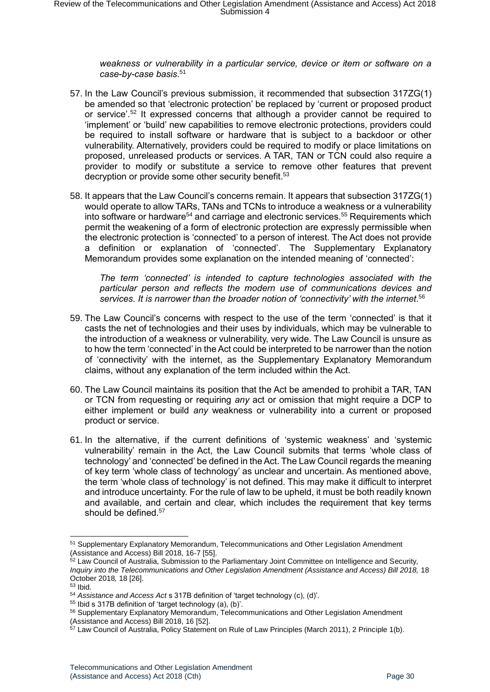*weakness or vulnerability in a particular service, device or item or software on a case-by-case basis*. 51

- 57. In the Law Council's previous submission, it recommended that subsection 317ZG(1) be amended so that 'electronic protection' be replaced by 'current or proposed product or service'.<sup>52</sup> It expressed concerns that although a provider cannot be required to 'implement' or 'build' new capabilities to remove electronic protections, providers could be required to install software or hardware that is subject to a backdoor or other vulnerability. Alternatively, providers could be required to modify or place limitations on proposed, unreleased products or services. A TAR, TAN or TCN could also require a provider to modify or substitute a service to remove other features that prevent decryption or provide some other security benefit.<sup>53</sup>
- 58. It appears that the Law Council's concerns remain. It appears that subsection 317ZG(1) would operate to allow TARs, TANs and TCNs to introduce a weakness or a vulnerability into software or hardware<sup>54</sup> and carriage and electronic services.<sup>55</sup> Requirements which permit the weakening of a form of electronic protection are expressly permissible when the electronic protection is 'connected' to a person of interest. The Act does not provide a definition or explanation of 'connected'. The Supplementary Explanatory Memorandum provides some explanation on the intended meaning of 'connected':

*The term 'connected' is intended to capture technologies associated with the particular person and reflects the modern use of communications devices and services. It is narrower than the broader notion of 'connectivity' with the internet*. 56

- 59. The Law Council's concerns with respect to the use of the term 'connected' is that it casts the net of technologies and their uses by individuals, which may be vulnerable to the introduction of a weakness or vulnerability, very wide. The Law Council is unsure as to how the term 'connected' in the Act could be interpreted to be narrower than the notion of 'connectivity' with the internet, as the Supplementary Explanatory Memorandum claims, without any explanation of the term included within the Act.
- 60. The Law Council maintains its position that the Act be amended to prohibit a TAR, TAN or TCN from requesting or requiring *any* act or omission that might require a DCP to either implement or build *any* weakness or vulnerability into a current or proposed product or service.
- 61. In the alternative, if the current definitions of 'systemic weakness' and 'systemic vulnerability' remain in the Act, the Law Council submits that terms 'whole class of technology' and 'connected' be defined in the Act. The Law Council regards the meaning of key term 'whole class of technology' as unclear and uncertain. As mentioned above, the term 'whole class of technology' is not defined. This may make it difficult to interpret and introduce uncertainty. For the rule of law to be upheld, it must be both readily known and available, and certain and clear, which includes the requirement that key terms should be defined.<sup>57</sup>

<sup>51</sup> Supplementary Explanatory Memorandum, Telecommunications and Other Legislation Amendment (Assistance and Access) Bill 2018, 16-7 [55].

<sup>52</sup> Law Council of Australia, Submission to the Parliamentary Joint Committee on Intelligence and Security*, Inquiry into the Telecommunications and Other Legislation Amendment (Assistance and Access) Bill 2018*, 18 October 2018*,* 18 [26].

<sup>53</sup> Ibid.

<sup>54</sup> *Assistance and Access Act* s 317B definition of 'target technology (c), (d)'.

<sup>55</sup> Ibid s 317B definition of 'target technology (a), (b)'.

<sup>56</sup> Supplementary Explanatory Memorandum, Telecommunications and Other Legislation Amendment (Assistance and Access) Bill 2018, 16 [52].

<sup>&</sup>lt;sup>57</sup> Law Council of Australia, Policy Statement on Rule of Law Principles (March 2011), 2 Principle 1(b).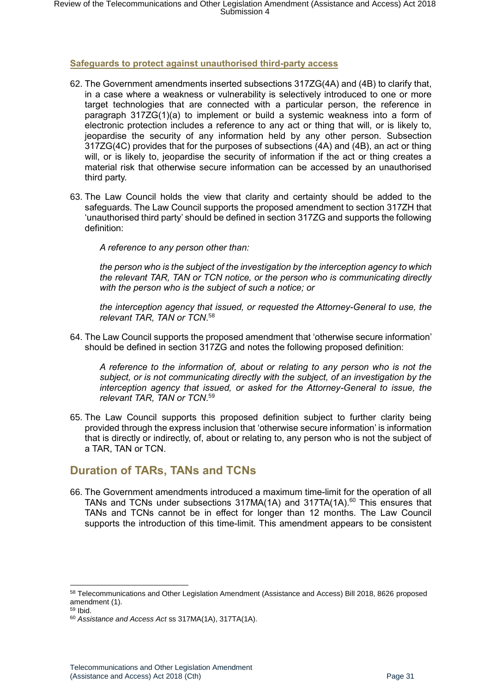#### <span id="page-30-0"></span>**Safeguards to protect against unauthorised third-party access**

- 62. The Government amendments inserted subsections 317ZG(4A) and (4B) to clarify that, in a case where a weakness or vulnerability is selectively introduced to one or more target technologies that are connected with a particular person, the reference in paragraph 317ZG(1)(a) to implement or build a systemic weakness into a form of electronic protection includes a reference to any act or thing that will, or is likely to, jeopardise the security of any information held by any other person. Subsection 317ZG(4C) provides that for the purposes of subsections (4A) and (4B), an act or thing will, or is likely to, jeopardise the security of information if the act or thing creates a material risk that otherwise secure information can be accessed by an unauthorised third party.
- 63. The Law Council holds the view that clarity and certainty should be added to the safeguards. The Law Council supports the proposed amendment to section 317ZH that 'unauthorised third party' should be defined in section 317ZG and supports the following definition:

*A reference to any person other than:*

*the person who is the subject of the investigation by the interception agency to which the relevant TAR, TAN or TCN notice, or the person who is communicating directly with the person who is the subject of such a notice; or* 

*the interception agency that issued, or requested the Attorney-General to use, the relevant TAR, TAN or TCN*. 58

64. The Law Council supports the proposed amendment that 'otherwise secure information' should be defined in section 317ZG and notes the following proposed definition:

*A reference to the information of, about or relating to any person who is not the subject, or is not communicating directly with the subject, of an investigation by the interception agency that issued, or asked for the Attorney-General to issue, the relevant TAR, TAN or TCN*. 59

65. The Law Council supports this proposed definition subject to further clarity being provided through the express inclusion that 'otherwise secure information' is information that is directly or indirectly, of, about or relating to, any person who is not the subject of a TAR, TAN or TCN.

## <span id="page-30-1"></span>**Duration of TARs, TANs and TCNs**

66. The Government amendments introduced a maximum time-limit for the operation of all TANs and TCNs under subsections  $317MA(1A)$  and  $317TA(1A).<sup>60</sup>$  This ensures that TANs and TCNs cannot be in effect for longer than 12 months. The Law Council supports the introduction of this time-limit. This amendment appears to be consistent

<sup>58</sup> Telecommunications and Other Legislation Amendment (Assistance and Access) Bill 2018, 8626 proposed amendment (1).

 $59$  Ibid.

<sup>60</sup> *Assistance and Access Act* ss 317MA(1A), 317TA(1A).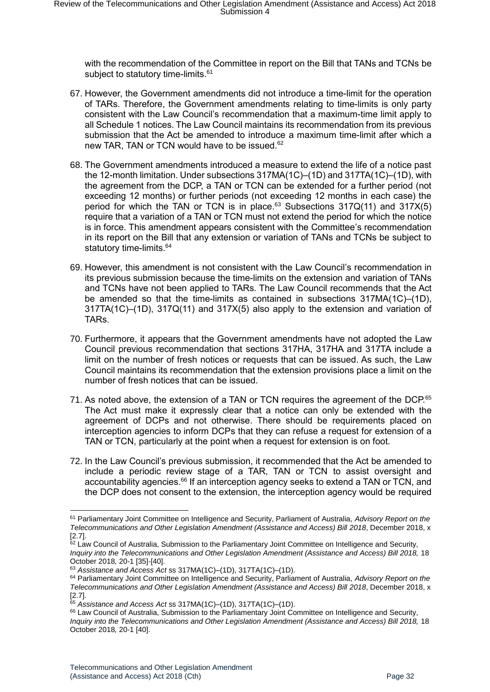with the recommendation of the Committee in report on the Bill that TANs and TCNs be subject to statutory time-limits.<sup>61</sup>

- 67. However, the Government amendments did not introduce a time-limit for the operation of TARs. Therefore, the Government amendments relating to time-limits is only party consistent with the Law Council's recommendation that a maximum-time limit apply to all Schedule 1 notices. The Law Council maintains its recommendation from its previous submission that the Act be amended to introduce a maximum time-limit after which a new TAR, TAN or TCN would have to be issued.<sup>62</sup>
- 68. The Government amendments introduced a measure to extend the life of a notice past the 12-month limitation. Under subsections 317MA(1C)–(1D) and 317TA(1C)–(1D), with the agreement from the DCP, a TAN or TCN can be extended for a further period (not exceeding 12 months) or further periods (not exceeding 12 months in each case) the period for which the TAN or TCN is in place.<sup>63</sup> Subsections  $317Q(11)$  and  $317X(5)$ require that a variation of a TAN or TCN must not extend the period for which the notice is in force. This amendment appears consistent with the Committee's recommendation in its report on the Bill that any extension or variation of TANs and TCNs be subject to statutory time-limits.<sup>64</sup>
- 69. However, this amendment is not consistent with the Law Council's recommendation in its previous submission because the time-limits on the extension and variation of TANs and TCNs have not been applied to TARs. The Law Council recommends that the Act be amended so that the time-limits as contained in subsections 317MA(1C)–(1D), 317TA(1C)–(1D), 317Q(11) and 317X(5) also apply to the extension and variation of TARs.
- 70. Furthermore, it appears that the Government amendments have not adopted the Law Council previous recommendation that sections 317HA, 317HA and 317TA include a limit on the number of fresh notices or requests that can be issued. As such, the Law Council maintains its recommendation that the extension provisions place a limit on the number of fresh notices that can be issued.
- 71. As noted above, the extension of a TAN or TCN requires the agreement of the DCP.<sup>65</sup> The Act must make it expressly clear that a notice can only be extended with the agreement of DCPs and not otherwise. There should be requirements placed on interception agencies to inform DCPs that they can refuse a request for extension of a TAN or TCN, particularly at the point when a request for extension is on foot.
- 72. In the Law Council's previous submission, it recommended that the Act be amended to include a periodic review stage of a TAR, TAN or TCN to assist oversight and accountability agencies.<sup>66</sup> If an interception agency seeks to extend a TAN or TCN, and the DCP does not consent to the extension, the interception agency would be required

<sup>61</sup> Parliamentary Joint Committee on Intelligence and Security, Parliament of Australia, *Advisory Report on the Telecommunications and Other Legislation Amendment (Assistance and Access) Bill 2018*, December 2018, x [2.7].

<sup>62</sup> Law Council of Australia, Submission to the Parliamentary Joint Committee on Intelligence and Security*, Inquiry into the Telecommunications and Other Legislation Amendment (Assistance and Access) Bill 2018, 18* October 2018*,* 20-1 [35]-[40].

<sup>63</sup> *Assistance and Access Act* ss 317MA(1C)–(1D), 317TA(1C)–(1D).

<sup>64</sup> Parliamentary Joint Committee on Intelligence and Security, Parliament of Australia, *Advisory Report on the Telecommunications and Other Legislation Amendment (Assistance and Access) Bill 2018*, December 2018, x [2.7].

<sup>65</sup> *Assistance and Access Act* ss 317MA(1C)–(1D), 317TA(1C)–(1D).

<sup>66</sup> Law Council of Australia, Submission to the Parliamentary Joint Committee on Intelligence and Security*,*  Inquiry into the Telecommunications and Other Legislation Amendment (Assistance and Access) Bill 2018, 18 October 2018*,* 20-1 [40].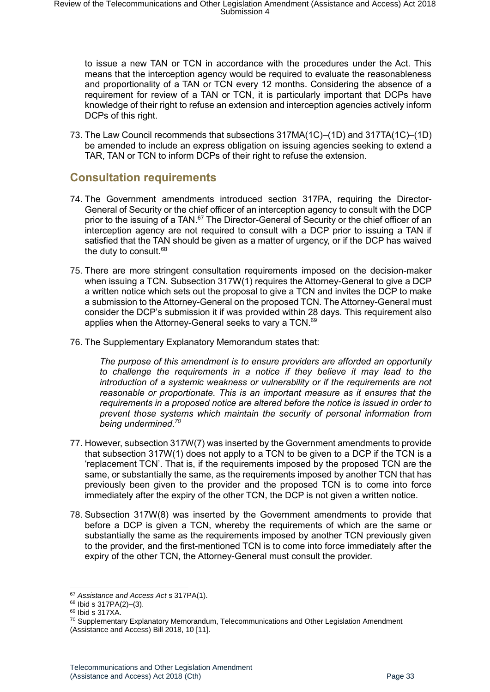to issue a new TAN or TCN in accordance with the procedures under the Act. This means that the interception agency would be required to evaluate the reasonableness and proportionality of a TAN or TCN every 12 months. Considering the absence of a requirement for review of a TAN or TCN, it is particularly important that DCPs have knowledge of their right to refuse an extension and interception agencies actively inform DCPs of this right.

73. The Law Council recommends that subsections 317MA(1C)–(1D) and 317TA(1C)–(1D) be amended to include an express obligation on issuing agencies seeking to extend a TAR, TAN or TCN to inform DCPs of their right to refuse the extension.

## <span id="page-32-0"></span>**Consultation requirements**

- 74. The Government amendments introduced section 317PA, requiring the Director-General of Security or the chief officer of an interception agency to consult with the DCP prior to the issuing of a TAN.<sup>67</sup> The Director-General of Security or the chief officer of an interception agency are not required to consult with a DCP prior to issuing a TAN if satisfied that the TAN should be given as a matter of urgency, or if the DCP has waived the duty to consult.<sup>68</sup>
- 75. There are more stringent consultation requirements imposed on the decision-maker when issuing a TCN. Subsection 317W(1) requires the Attorney-General to give a DCP a written notice which sets out the proposal to give a TCN and invites the DCP to make a submission to the Attorney-General on the proposed TCN. The Attorney-General must consider the DCP's submission it if was provided within 28 days. This requirement also applies when the Attorney-General seeks to vary a TCN.<sup>69</sup>
- 76. The Supplementary Explanatory Memorandum states that:

*The purpose of this amendment is to ensure providers are afforded an opportunity to challenge the requirements in a notice if they believe it may lead to the introduction of a systemic weakness or vulnerability or if the requirements are not reasonable or proportionate. This is an important measure as it ensures that the requirements in a proposed notice are altered before the notice is issued in order to prevent those systems which maintain the security of personal information from being undermined*. *70*

- 77. However, subsection 317W(7) was inserted by the Government amendments to provide that subsection 317W(1) does not apply to a TCN to be given to a DCP if the TCN is a 'replacement TCN'. That is, if the requirements imposed by the proposed TCN are the same, or substantially the same, as the requirements imposed by another TCN that has previously been given to the provider and the proposed TCN is to come into force immediately after the expiry of the other TCN, the DCP is not given a written notice.
- 78. Subsection 317W(8) was inserted by the Government amendments to provide that before a DCP is given a TCN, whereby the requirements of which are the same or substantially the same as the requirements imposed by another TCN previously given to the provider, and the first-mentioned TCN is to come into force immediately after the expiry of the other TCN, the Attorney-General must consult the provider.

<sup>67</sup> *Assistance and Access Act* s 317PA(1).

<sup>68</sup> Ibid s 317PA(2)–(3).

<sup>69</sup> Ibid s 317XA.

 $70$  Supplementary Explanatory Memorandum, Telecommunications and Other Legislation Amendment (Assistance and Access) Bill 2018, 10 [11].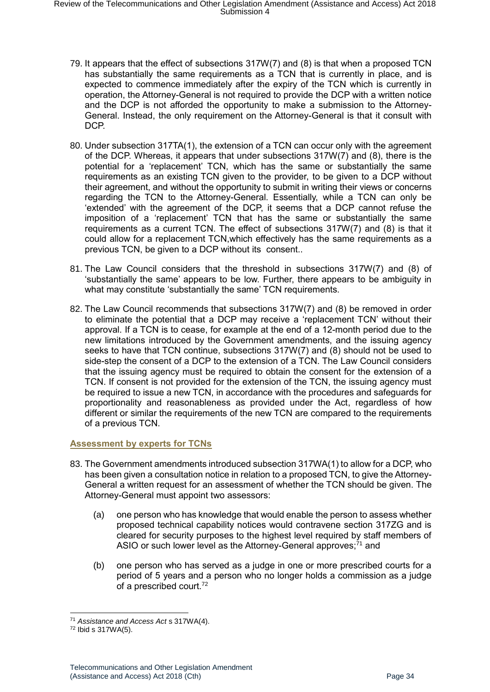- 79. It appears that the effect of subsections 317W(7) and (8) is that when a proposed TCN has substantially the same requirements as a TCN that is currently in place, and is expected to commence immediately after the expiry of the TCN which is currently in operation, the Attorney-General is not required to provide the DCP with a written notice and the DCP is not afforded the opportunity to make a submission to the Attorney-General. Instead, the only requirement on the Attorney-General is that it consult with DCP.
- 80. Under subsection 317TA(1), the extension of a TCN can occur only with the agreement of the DCP. Whereas, it appears that under subsections 317W(7) and (8), there is the potential for a 'replacement' TCN, which has the same or substantially the same requirements as an existing TCN given to the provider, to be given to a DCP without their agreement, and without the opportunity to submit in writing their views or concerns regarding the TCN to the Attorney-General. Essentially, while a TCN can only be 'extended' with the agreement of the DCP, it seems that a DCP cannot refuse the imposition of a 'replacement' TCN that has the same or substantially the same requirements as a current TCN. The effect of subsections 317W(7) and (8) is that it could allow for a replacement TCN,which effectively has the same requirements as a previous TCN, be given to a DCP without its consent..
- 81. The Law Council considers that the threshold in subsections 317W(7) and (8) of 'substantially the same' appears to be low. Further, there appears to be ambiguity in what may constitute 'substantially the same' TCN requirements.
- 82. The Law Council recommends that subsections 317W(7) and (8) be removed in order to eliminate the potential that a DCP may receive a 'replacement TCN' without their approval. If a TCN is to cease, for example at the end of a 12-month period due to the new limitations introduced by the Government amendments, and the issuing agency seeks to have that TCN continue, subsections 317W(7) and (8) should not be used to side-step the consent of a DCP to the extension of a TCN. The Law Council considers that the issuing agency must be required to obtain the consent for the extension of a TCN. If consent is not provided for the extension of the TCN, the issuing agency must be required to issue a new TCN, in accordance with the procedures and safeguards for proportionality and reasonableness as provided under the Act, regardless of how different or similar the requirements of the new TCN are compared to the requirements of a previous TCN.

#### <span id="page-33-0"></span>**Assessment by experts for TCNs**

- 83. The Government amendments introduced subsection 317WA(1) to allow for a DCP, who has been given a consultation notice in relation to a proposed TCN, to give the Attorney-General a written request for an assessment of whether the TCN should be given. The Attorney-General must appoint two assessors:
	- (a) one person who has knowledge that would enable the person to assess whether proposed technical capability notices would contravene section 317ZG and is cleared for security purposes to the highest level required by staff members of ASIO or such lower level as the Attorney-General approves;<sup>71</sup> and
	- (b) one person who has served as a judge in one or more prescribed courts for a period of 5 years and a person who no longer holds a commission as a judge of a prescribed court.<sup>72</sup>

<sup>71</sup> *Assistance and Access Act* s 317WA(4).

<sup>72</sup> Ibid s 317WA(5).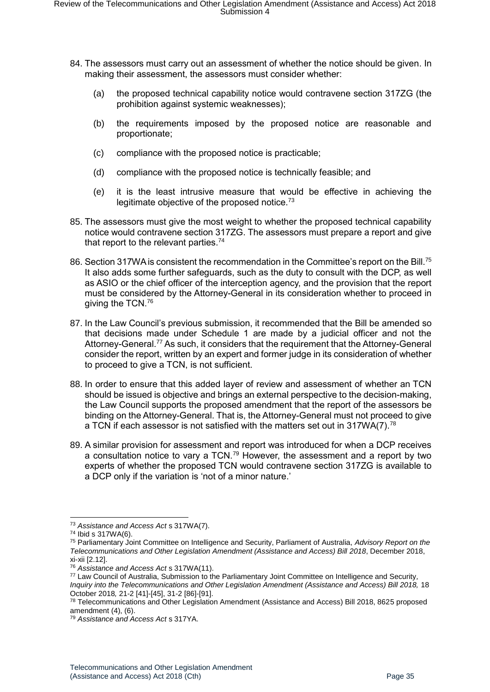- 84. The assessors must carry out an assessment of whether the notice should be given. In making their assessment, the assessors must consider whether:
	- (a) the proposed technical capability notice would contravene section 317ZG (the prohibition against systemic weaknesses);
	- (b) the requirements imposed by the proposed notice are reasonable and proportionate;
	- (c) compliance with the proposed notice is practicable;
	- (d) compliance with the proposed notice is technically feasible; and
	- (e) it is the least intrusive measure that would be effective in achieving the legitimate objective of the proposed notice.<sup>73</sup>
- 85. The assessors must give the most weight to whether the proposed technical capability notice would contravene section 317ZG. The assessors must prepare a report and give that report to the relevant parties.<sup>74</sup>
- 86. Section 317WA is consistent the recommendation in the Committee's report on the Bill.<sup>75</sup> It also adds some further safeguards, such as the duty to consult with the DCP, as well as ASIO or the chief officer of the interception agency, and the provision that the report must be considered by the Attorney-General in its consideration whether to proceed in giving the TCN.<sup>76</sup>
- 87. In the Law Council's previous submission, it recommended that the Bill be amended so that decisions made under Schedule 1 are made by a judicial officer and not the Attorney-General.<sup>77</sup> As such, it considers that the requirement that the Attorney-General consider the report, written by an expert and former judge in its consideration of whether to proceed to give a TCN, is not sufficient.
- 88. In order to ensure that this added layer of review and assessment of whether an TCN should be issued is objective and brings an external perspective to the decision-making, the Law Council supports the proposed amendment that the report of the assessors be binding on the Attorney-General. That is, the Attorney-General must not proceed to give a TCN if each assessor is not satisfied with the matters set out in 317WA(7).<sup>78</sup>
- 89. A similar provision for assessment and report was introduced for when a DCP receives a consultation notice to vary a TCN.<sup>79</sup> However, the assessment and a report by two experts of whether the proposed TCN would contravene section 317ZG is available to a DCP only if the variation is 'not of a minor nature.'

<sup>-</sup><sup>73</sup> *Assistance and Access Act* s 317WA(7).

<sup>74</sup> Ibid s 317WA(6).

<sup>75</sup> Parliamentary Joint Committee on Intelligence and Security, Parliament of Australia, *Advisory Report on the Telecommunications and Other Legislation Amendment (Assistance and Access) Bill 2018*, December 2018, xi-xii [2.12].

<sup>76</sup> *Assistance and Access Act* s 317WA(11).

<sup>77</sup> Law Council of Australia, Submission to the Parliamentary Joint Committee on Intelligence and Security*, Inquiry into the Telecommunications and Other Legislation Amendment (Assistance and Access) Bill 2018, 18* October 2018*,* 21-2 [41]-[45], 31-2 [86]-[91].

<sup>78</sup> Telecommunications and Other Legislation Amendment (Assistance and Access) Bill 2018, 8625 proposed amendment (4), (6).

<sup>79</sup> *Assistance and Access Act* s 317YA.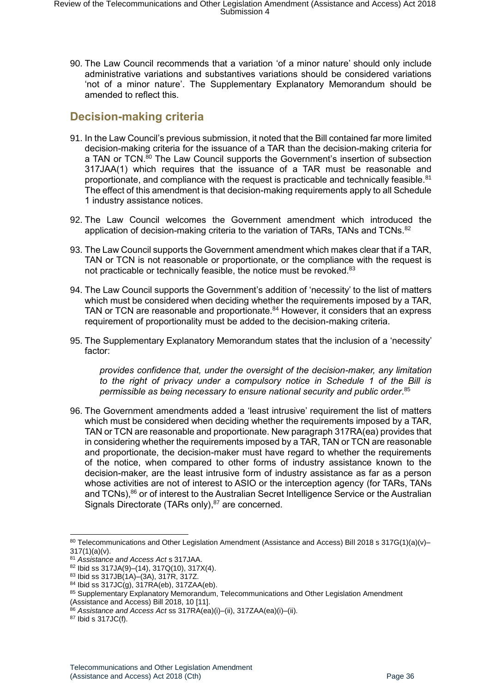90. The Law Council recommends that a variation 'of a minor nature' should only include administrative variations and substantives variations should be considered variations 'not of a minor nature'. The Supplementary Explanatory Memorandum should be amended to reflect this.

## <span id="page-35-0"></span>**Decision-making criteria**

- 91. In the Law Council's previous submission, it noted that the Bill contained far more limited decision-making criteria for the issuance of a TAR than the decision-making criteria for a TAN or TCN.<sup>80</sup> The Law Council supports the Government's insertion of subsection 317JAA(1) which requires that the issuance of a TAR must be reasonable and proportionate, and compliance with the request is practicable and technically feasible.<sup>81</sup> The effect of this amendment is that decision-making requirements apply to all Schedule 1 industry assistance notices.
- 92. The Law Council welcomes the Government amendment which introduced the application of decision-making criteria to the variation of TARs. TANs and TCNs.<sup>82</sup>
- 93. The Law Council supports the Government amendment which makes clear that if a TAR, TAN or TCN is not reasonable or proportionate, or the compliance with the request is not practicable or technically feasible, the notice must be revoked.<sup>83</sup>
- 94. The Law Council supports the Government's addition of 'necessity' to the list of matters which must be considered when deciding whether the requirements imposed by a TAR, TAN or TCN are reasonable and proportionate.<sup>84</sup> However, it considers that an express requirement of proportionality must be added to the decision-making criteria.
- 95. The Supplementary Explanatory Memorandum states that the inclusion of a 'necessity' factor:

*provides confidence that, under the oversight of the decision-maker, any limitation to the right of privacy under a compulsory notice in Schedule 1 of the Bill is permissible as being necessary to ensure national security and public order*. 85

96. The Government amendments added a 'least intrusive' requirement the list of matters which must be considered when deciding whether the requirements imposed by a TAR, TAN or TCN are reasonable and proportionate. New paragraph 317RA(ea) provides that in considering whether the requirements imposed by a TAR, TAN or TCN are reasonable and proportionate, the decision-maker must have regard to whether the requirements of the notice, when compared to other forms of industry assistance known to the decision-maker, are the least intrusive form of industry assistance as far as a person whose activities are not of interest to ASIO or the interception agency (for TARs, TANs and TCNs),<sup>86</sup> or of interest to the Australian Secret Intelligence Service or the Australian Signals Directorate (TARs only),<sup>87</sup> are concerned.

<sup>87</sup> Ibid s 317JC(f).

<sup>80</sup> Telecommunications and Other Legislation Amendment (Assistance and Access) Bill 2018 s 317G(1)(a)(v)- $317(1)(a)(v)$ .

<sup>81</sup> *Assistance and Access Act* s 317JAA.

<sup>82</sup> Ibid ss 317JA(9)–(14), 317Q(10), 317X(4).

<sup>83</sup> Ibid ss 317JB(1A)–(3A), 317R, 317Z.

<sup>84</sup> Ibid ss 317JC(g), 317RA(eb), 317ZAA(eb).

<sup>85</sup> Supplementary Explanatory Memorandum, Telecommunications and Other Legislation Amendment (Assistance and Access) Bill 2018, 10 [11].

<sup>86</sup> *Assistance and Access Act* ss 317RA(ea)(i)–(ii), 317ZAA(ea)(i)–(ii).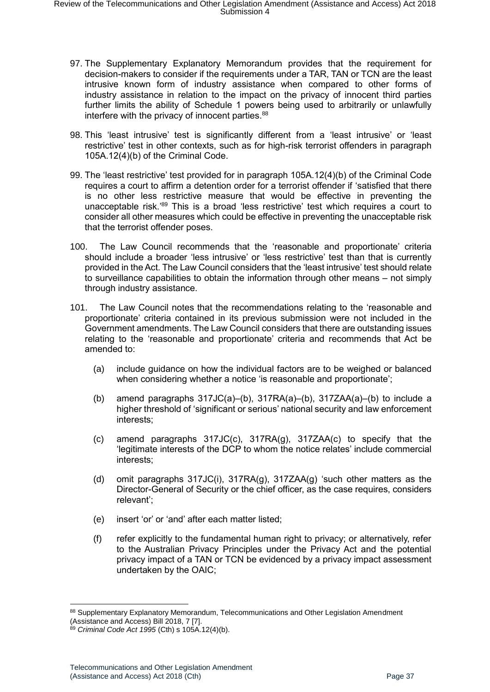- 97. The Supplementary Explanatory Memorandum provides that the requirement for decision-makers to consider if the requirements under a TAR, TAN or TCN are the least intrusive known form of industry assistance when compared to other forms of industry assistance in relation to the impact on the privacy of innocent third parties further limits the ability of Schedule 1 powers being used to arbitrarily or unlawfully interfere with the privacy of innocent parties.<sup>88</sup>
- 98. This 'least intrusive' test is significantly different from a 'least intrusive' or 'least restrictive' test in other contexts, such as for high-risk terrorist offenders in paragraph 105A.12(4)(b) of the Criminal Code.
- 99. The 'least restrictive' test provided for in paragraph 105A.12(4)(b) of the Criminal Code requires a court to affirm a detention order for a terrorist offender if 'satisfied that there is no other less restrictive measure that would be effective in preventing the unacceptable risk.<sup>'89</sup> This is a broad 'less restrictive' test which requires a court to consider all other measures which could be effective in preventing the unacceptable risk that the terrorist offender poses.
- 100. The Law Council recommends that the 'reasonable and proportionate' criteria should include a broader 'less intrusive' or 'less restrictive' test than that is currently provided in the Act. The Law Council considers that the 'least intrusive' test should relate to surveillance capabilities to obtain the information through other means – not simply through industry assistance.
- 101. The Law Council notes that the recommendations relating to the 'reasonable and proportionate' criteria contained in its previous submission were not included in the Government amendments. The Law Council considers that there are outstanding issues relating to the 'reasonable and proportionate' criteria and recommends that Act be amended to:
	- (a) include guidance on how the individual factors are to be weighed or balanced when considering whether a notice 'is reasonable and proportionate';
	- (b) amend paragraphs  $317JC(a)$ –(b),  $317RA(a)$ –(b),  $317ZAA(a)$ –(b) to include a higher threshold of 'significant or serious' national security and law enforcement interests;
	- (c) amend paragraphs 317JC(c), 317RA(g), 317ZAA(c) to specify that the 'legitimate interests of the DCP to whom the notice relates' include commercial interests;
	- (d) omit paragraphs 317JC(i), 317RA(g), 317ZAA(g) 'such other matters as the Director-General of Security or the chief officer, as the case requires, considers relevant';
	- (e) insert 'or' or 'and' after each matter listed;
	- (f) refer explicitly to the fundamental human right to privacy; or alternatively, refer to the Australian Privacy Principles under the Privacy Act and the potential privacy impact of a TAN or TCN be evidenced by a privacy impact assessment undertaken by the OAIC;

<sup>88</sup> Supplementary Explanatory Memorandum, Telecommunications and Other Legislation Amendment (Assistance and Access) Bill 2018, 7 [7].

<sup>89</sup> *Criminal Code Act 1995* (Cth) s 105A.12(4)(b).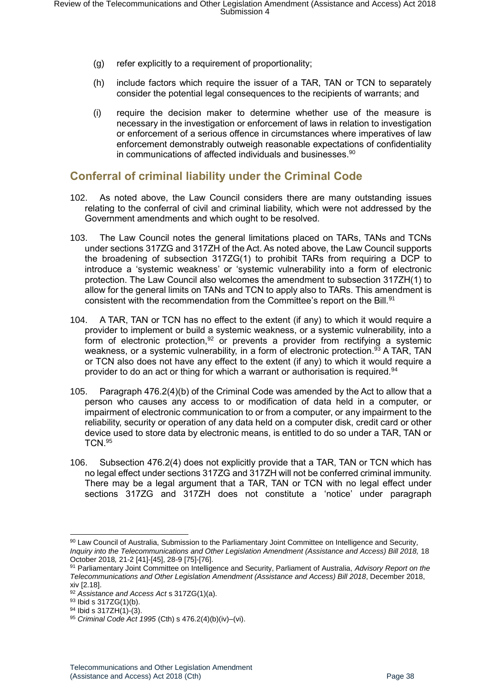- (g) refer explicitly to a requirement of proportionality;
- (h) include factors which require the issuer of a TAR, TAN or TCN to separately consider the potential legal consequences to the recipients of warrants; and
- (i) require the decision maker to determine whether use of the measure is necessary in the investigation or enforcement of laws in relation to investigation or enforcement of a serious offence in circumstances where imperatives of law enforcement demonstrably outweigh reasonable expectations of confidentiality in communications of affected individuals and businesses.<sup>90</sup>

#### <span id="page-37-0"></span>**Conferral of criminal liability under the Criminal Code**

- 102. As noted above, the Law Council considers there are many outstanding issues relating to the conferral of civil and criminal liability, which were not addressed by the Government amendments and which ought to be resolved.
- 103. The Law Council notes the general limitations placed on TARs, TANs and TCNs under sections 317ZG and 317ZH of the Act. As noted above, the Law Council supports the broadening of subsection 317ZG(1) to prohibit TARs from requiring a DCP to introduce a 'systemic weakness' or 'systemic vulnerability into a form of electronic protection. The Law Council also welcomes the amendment to subsection 317ZH(1) to allow for the general limits on TANs and TCN to apply also to TARs. This amendment is consistent with the recommendation from the Committee's report on the Bill.<sup>91</sup>
- 104. A TAR, TAN or TCN has no effect to the extent (if any) to which it would require a provider to implement or build a systemic weakness, or a systemic vulnerability, into a form of electronic protection,  $92$  or prevents a provider from rectifying a systemic weakness, or a systemic vulnerability, in a form of electronic protection.<sup>93</sup> A TAR, TAN or TCN also does not have any effect to the extent (if any) to which it would require a provider to do an act or thing for which a warrant or authorisation is required.<sup>94</sup>
- 105. Paragraph 476.2(4)(b) of the Criminal Code was amended by the Act to allow that a person who causes any access to or modification of data held in a computer, or impairment of electronic communication to or from a computer, or any impairment to the reliability, security or operation of any data held on a computer disk, credit card or other device used to store data by electronic means, is entitled to do so under a TAR, TAN or TCN.<sup>95</sup>
- 106. Subsection 476.2(4) does not explicitly provide that a TAR, TAN or TCN which has no legal effect under sections 317ZG and 317ZH will not be conferred criminal immunity. There may be a legal argument that a TAR, TAN or TCN with no legal effect under sections 317ZG and 317ZH does not constitute a 'notice' under paragraph

<sup>90</sup> Law Council of Australia, Submission to the Parliamentary Joint Committee on Intelligence and Security*,*  Inquiry into the Telecommunications and Other Legislation Amendment (Assistance and Access) Bill 2018, 18 October 2018*,* 21-2 [41]-[45], 28-9 [75]-[76].

<sup>91</sup> Parliamentary Joint Committee on Intelligence and Security, Parliament of Australia, *Advisory Report on the Telecommunications and Other Legislation Amendment (Assistance and Access) Bill 2018*, December 2018, xiv [2.18].

<sup>92</sup> *Assistance and Access Act* s 317ZG(1)(a).

<sup>93</sup> Ibid s 317ZG(1)(b).

<sup>94</sup> Ibid s 317ZH(1)-(3).

<sup>95</sup> *Criminal Code Act 1995* (Cth) s 476.2(4)(b)(iv)–(vi).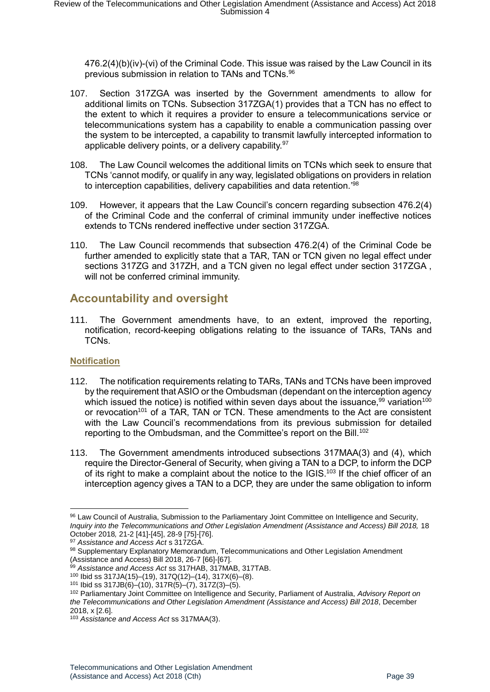476.2(4)(b)(iv)-(vi) of the Criminal Code. This issue was raised by the Law Council in its previous submission in relation to TANs and TCNs.<sup>96</sup>

- 107. Section 317ZGA was inserted by the Government amendments to allow for additional limits on TCNs. Subsection 317ZGA(1) provides that a TCN has no effect to the extent to which it requires a provider to ensure a telecommunications service or telecommunications system has a capability to enable a communication passing over the system to be intercepted, a capability to transmit lawfully intercepted information to applicable delivery points, or a delivery capability.<sup>97</sup>
- 108. The Law Council welcomes the additional limits on TCNs which seek to ensure that TCNs 'cannot modify, or qualify in any way, legislated obligations on providers in relation to interception capabilities, delivery capabilities and data retention.<sup>'98</sup>
- 109. However, it appears that the Law Council's concern regarding subsection 476.2(4) of the Criminal Code and the conferral of criminal immunity under ineffective notices extends to TCNs rendered ineffective under section 317ZGA.
- 110. The Law Council recommends that subsection 476.2(4) of the Criminal Code be further amended to explicitly state that a TAR, TAN or TCN given no legal effect under sections 317ZG and 317ZH, and a TCN given no legal effect under section 317ZGA , will not be conferred criminal immunity.

## <span id="page-38-0"></span>**Accountability and oversight**

111. The Government amendments have, to an extent, improved the reporting, notification, record-keeping obligations relating to the issuance of TARs, TANs and TCNs.

#### <span id="page-38-1"></span>**Notification**

- 112. The notification requirements relating to TARs, TANs and TCNs have been improved by the requirement that ASIO or the Ombudsman (dependant on the interception agency which issued the notice) is notified within seven days about the issuance.<sup>99</sup> variation<sup>100</sup> or revocation<sup>101</sup> of a TAR. TAN or TCN. These amendments to the Act are consistent with the Law Council's recommendations from its previous submission for detailed reporting to the Ombudsman, and the Committee's report on the Bill.<sup>102</sup>
- 113. The Government amendments introduced subsections 317MAA(3) and (4), which require the Director-General of Security, when giving a TAN to a DCP, to inform the DCP of its right to make a complaint about the notice to the IGIS.<sup>103</sup> If the chief officer of an interception agency gives a TAN to a DCP, they are under the same obligation to inform

<sup>1</sup> <sup>96</sup> Law Council of Australia, Submission to the Parliamentary Joint Committee on Intelligence and Security*, Inquiry into the Telecommunications and Other Legislation Amendment (Assistance and Access) Bill 2018, 18* October 2018*,* 21-2 [41]-[45], 28-9 [75]-[76].

<sup>97</sup> *Assistance and Access Act* s 317ZGA.

<sup>98</sup> Supplementary Explanatory Memorandum, Telecommunications and Other Legislation Amendment (Assistance and Access) Bill 2018, 26-7 [66]-[67].

<sup>99</sup> *Assistance and Access Act* ss 317HAB, 317MAB, 317TAB.

<sup>100</sup> Ibid ss 317JA(15)–(19), 317Q(12)–(14), 317X(6)–(8).

<sup>101</sup> Ibid ss 317JB(6)–(10), 317R(5)–(7), 317Z(3)–(5).

<sup>102</sup> Parliamentary Joint Committee on Intelligence and Security, Parliament of Australia, *Advisory Report on the Telecommunications and Other Legislation Amendment (Assistance and Access) Bill 2018*, December 2018, x [2.6].

<sup>103</sup> *Assistance and Access Act* ss 317MAA(3).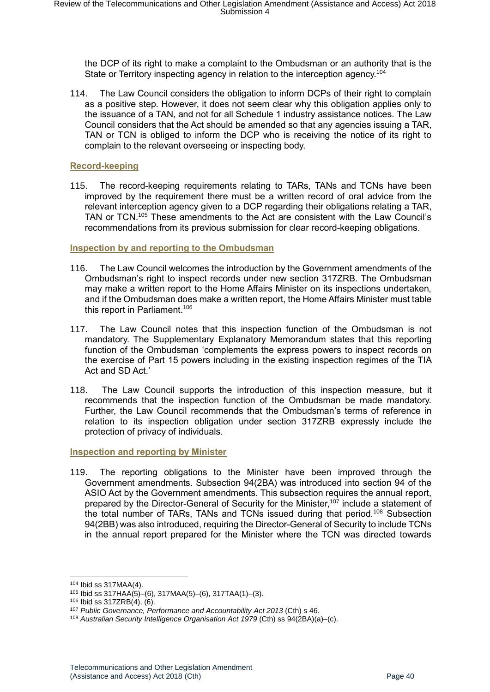the DCP of its right to make a complaint to the Ombudsman or an authority that is the State or Territory inspecting agency in relation to the interception agency.<sup>104</sup>

114. The Law Council considers the obligation to inform DCPs of their right to complain as a positive step. However, it does not seem clear why this obligation applies only to the issuance of a TAN, and not for all Schedule 1 industry assistance notices. The Law Council considers that the Act should be amended so that any agencies issuing a TAR, TAN or TCN is obliged to inform the DCP who is receiving the notice of its right to complain to the relevant overseeing or inspecting body.

#### <span id="page-39-0"></span>**Record-keeping**

115. The record-keeping requirements relating to TARs, TANs and TCNs have been improved by the requirement there must be a written record of oral advice from the relevant interception agency given to a DCP regarding their obligations relating a TAR, TAN or TCN. <sup>105</sup> These amendments to the Act are consistent with the Law Council's recommendations from its previous submission for clear record-keeping obligations.

#### <span id="page-39-1"></span>**Inspection by and reporting to the Ombudsman**

- 116. The Law Council welcomes the introduction by the Government amendments of the Ombudsman's right to inspect records under new section 317ZRB. The Ombudsman may make a written report to the Home Affairs Minister on its inspections undertaken, and if the Ombudsman does make a written report, the Home Affairs Minister must table this report in Parliament.<sup>106</sup>
- 117. The Law Council notes that this inspection function of the Ombudsman is not mandatory. The Supplementary Explanatory Memorandum states that this reporting function of the Ombudsman 'complements the express powers to inspect records on the exercise of Part 15 powers including in the existing inspection regimes of the TIA Act and SD Act.'
- 118. The Law Council supports the introduction of this inspection measure, but it recommends that the inspection function of the Ombudsman be made mandatory. Further, the Law Council recommends that the Ombudsman's terms of reference in relation to its inspection obligation under section 317ZRB expressly include the protection of privacy of individuals.

<span id="page-39-2"></span>**Inspection and reporting by Minister** 

119. The reporting obligations to the Minister have been improved through the Government amendments. Subsection 94(2BA) was introduced into section 94 of the ASIO Act by the Government amendments. This subsection requires the annual report, prepared by the Director-General of Security for the Minister,<sup>107</sup> include a statement of the total number of TARs, TANs and TCNs issued during that period.<sup>108</sup> Subsection 94(2BB) was also introduced, requiring the Director-General of Security to include TCNs in the annual report prepared for the Minister where the TCN was directed towards

<sup>104</sup> Ibid ss 317MAA(4).

<sup>105</sup> Ibid ss 317HAA(5)–(6), 317MAA(5)–(6), 317TAA(1)–(3).

<sup>106</sup> Ibid ss 317ZRB(4), (6).

<sup>107</sup> *Public Governance, Performance and Accountability Act 2013* (Cth) s 46.

<sup>108</sup> *Australian Security Intelligence Organisation Act 1979* (Cth) ss 94(2BA)(a)–(c).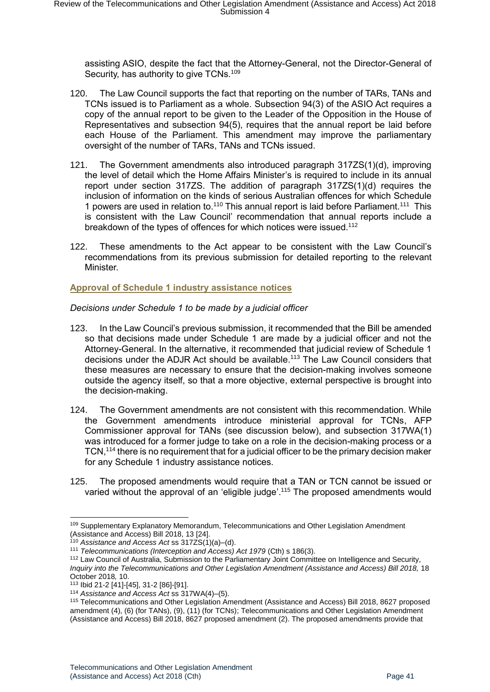assisting ASIO, despite the fact that the Attorney-General, not the Director-General of Security, has authority to give TCNs.<sup>109</sup>

- 120. The Law Council supports the fact that reporting on the number of TARs, TANs and TCNs issued is to Parliament as a whole. Subsection 94(3) of the ASIO Act requires a copy of the annual report to be given to the Leader of the Opposition in the House of Representatives and subsection 94(5), requires that the annual report be laid before each House of the Parliament. This amendment may improve the parliamentary oversight of the number of TARs, TANs and TCNs issued.
- 121. The Government amendments also introduced paragraph 317ZS(1)(d), improving the level of detail which the Home Affairs Minister's is required to include in its annual report under section 317ZS. The addition of paragraph 317ZS(1)(d) requires the inclusion of information on the kinds of serious Australian offences for which Schedule 1 powers are used in relation to.<sup>110</sup> This annual report is laid before Parliament.<sup>111</sup> This is consistent with the Law Council' recommendation that annual reports include a breakdown of the types of offences for which notices were issued.<sup>112</sup>
- 122. These amendments to the Act appear to be consistent with the Law Council's recommendations from its previous submission for detailed reporting to the relevant **Minister**

<span id="page-40-0"></span>**Approval of Schedule 1 industry assistance notices** 

<span id="page-40-1"></span>*Decisions under Schedule 1 to be made by a judicial officer* 

- 123. In the Law Council's previous submission, it recommended that the Bill be amended so that decisions made under Schedule 1 are made by a judicial officer and not the Attorney-General. In the alternative, it recommended that judicial review of Schedule 1 decisions under the ADJR Act should be available.<sup>113</sup> The Law Council considers that these measures are necessary to ensure that the decision-making involves someone outside the agency itself, so that a more objective, external perspective is brought into the decision-making.
- 124. The Government amendments are not consistent with this recommendation. While the Government amendments introduce ministerial approval for TCNs, AFP Commissioner approval for TANs (see discussion below), and subsection 317WA(1) was introduced for a former judge to take on a role in the decision-making process or a TCN,<sup>114</sup> there is no requirement that for a judicial officer to be the primary decision maker for any Schedule 1 industry assistance notices.
- 125. The proposed amendments would require that a TAN or TCN cannot be issued or varied without the approval of an 'eligible judge'.<sup>115</sup> The proposed amendments would

<sup>-</sup><sup>109</sup> Supplementary Explanatory Memorandum, Telecommunications and Other Legislation Amendment (Assistance and Access) Bill 2018, 13 [24].

<sup>110</sup> *Assistance and Access Act* ss 317ZS(1)(a)–(d).

<sup>111</sup> *Telecommunications (Interception and Access) Act 1979* (Cth) s 186(3).

<sup>112</sup> Law Council of Australia, Submission to the Parliamentary Joint Committee on Intelligence and Security*,*  Inquiry into the Telecommunications and Other Legislation Amendment (Assistance and Access) Bill 2018, 18 October 2018*,* 10.

<sup>113</sup> Ibid 21-2 [41]-[45], 31-2 [86]-[91].

<sup>114</sup> *Assistance and Access Act* ss 317WA(4)–(5).

<sup>115</sup> Telecommunications and Other Legislation Amendment (Assistance and Access) Bill 2018, 8627 proposed amendment (4), (6) (for TANs), (9), (11) (for TCNs); Telecommunications and Other Legislation Amendment (Assistance and Access) Bill 2018, 8627 proposed amendment (2). The proposed amendments provide that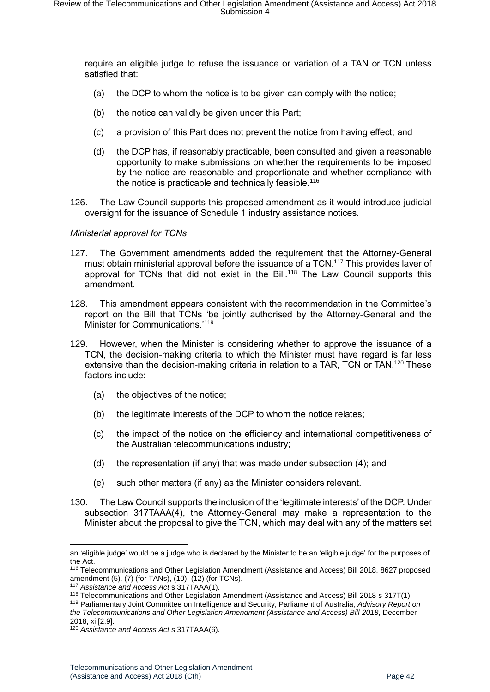require an eligible judge to refuse the issuance or variation of a TAN or TCN unless satisfied that:

- (a) the DCP to whom the notice is to be given can comply with the notice;
- (b) the notice can validly be given under this Part;
- (c) a provision of this Part does not prevent the notice from having effect; and
- (d) the DCP has, if reasonably practicable, been consulted and given a reasonable opportunity to make submissions on whether the requirements to be imposed by the notice are reasonable and proportionate and whether compliance with the notice is practicable and technically feasible.<sup>116</sup>
- 126. The Law Council supports this proposed amendment as it would introduce judicial oversight for the issuance of Schedule 1 industry assistance notices.

#### <span id="page-41-0"></span>*Ministerial approval for TCNs*

- 127. The Government amendments added the requirement that the Attorney-General must obtain ministerial approval before the issuance of a TCN.<sup>117</sup> This provides layer of approval for TCNs that did not exist in the Bill.<sup>118</sup> The Law Council supports this amendment.
- 128. This amendment appears consistent with the recommendation in the Committee's report on the Bill that TCNs 'be jointly authorised by the Attorney-General and the Minister for Communications.' 119
- 129. However, when the Minister is considering whether to approve the issuance of a TCN, the decision-making criteria to which the Minister must have regard is far less extensive than the decision-making criteria in relation to a TAR, TCN or TAN.<sup>120</sup> These factors include:
	- (a) the objectives of the notice;
	- (b) the legitimate interests of the DCP to whom the notice relates;
	- (c) the impact of the notice on the efficiency and international competitiveness of the Australian telecommunications industry;
	- (d) the representation (if any) that was made under subsection (4); and
	- (e) such other matters (if any) as the Minister considers relevant.
- 130. The Law Council supports the inclusion of the 'legitimate interests' of the DCP. Under subsection 317TAAA(4), the Attorney-General may make a representation to the Minister about the proposal to give the TCN, which may deal with any of the matters set

an 'eligible judge' would be a judge who is declared by the Minister to be an 'eligible judge' for the purposes of the Act.

<sup>116</sup> Telecommunications and Other Legislation Amendment (Assistance and Access) Bill 2018, 8627 proposed amendment (5), (7) (for TANs), (10), (12) (for TCNs).

<sup>117</sup> *Assistance and Access Act* s 317TAAA(1).

<sup>118</sup> Telecommunications and Other Legislation Amendment (Assistance and Access) Bill 2018 s 317T(1).

<sup>119</sup> Parliamentary Joint Committee on Intelligence and Security, Parliament of Australia, *Advisory Report on the Telecommunications and Other Legislation Amendment (Assistance and Access) Bill 2018*, December 2018, xi [2.9].

<sup>120</sup> *Assistance and Access Act* s 317TAAA(6).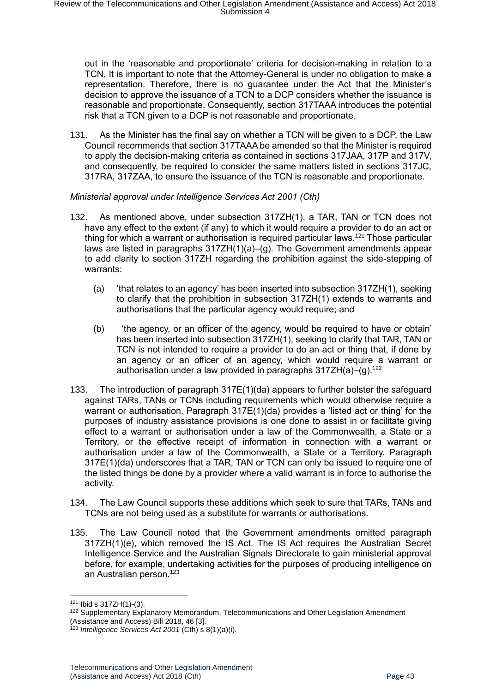out in the 'reasonable and proportionate' criteria for decision-making in relation to a TCN. It is important to note that the Attorney-General is under no obligation to make a representation. Therefore, there is no guarantee under the Act that the Minister's decision to approve the issuance of a TCN to a DCP considers whether the issuance is reasonable and proportionate. Consequently, section 317TAAA introduces the potential risk that a TCN given to a DCP is not reasonable and proportionate.

131. As the Minister has the final say on whether a TCN will be given to a DCP, the Law Council recommends that section 317TAAA be amended so that the Minister is required to apply the decision-making criteria as contained in sections 317JAA, 317P and 317V, and consequently, be required to consider the same matters listed in sections 317JC, 317RA, 317ZAA, to ensure the issuance of the TCN is reasonable and proportionate.

#### <span id="page-42-0"></span>*Ministerial approval under Intelligence Services Act 2001 (Cth)*

- 132. As mentioned above, under subsection 317ZH(1), a TAR, TAN or TCN does not have any effect to the extent (if any) to which it would require a provider to do an act or thing for which a warrant or authorisation is required particular laws.<sup>121</sup> Those particular laws are listed in paragraphs 317ZH(1)(a)–(g). The Government amendments appear to add clarity to section 317ZH regarding the prohibition against the side-stepping of warrants:
	- (a) 'that relates to an agency' has been inserted into subsection 317ZH(1), seeking to clarify that the prohibition in subsection 317ZH(1) extends to warrants and authorisations that the particular agency would require; and
	- (b) 'the agency, or an officer of the agency, would be required to have or obtain' has been inserted into subsection 317ZH(1), seeking to clarify that TAR, TAN or TCN is not intended to require a provider to do an act or thing that, if done by an agency or an officer of an agency, which would require a warrant or authorisation under a law provided in paragraphs  $317ZH(a)-(q)$ .<sup>122</sup>
- 133. The introduction of paragraph 317E(1)(da) appears to further bolster the safeguard against TARs, TANs or TCNs including requirements which would otherwise require a warrant or authorisation. Paragraph 317E(1)(da) provides a 'listed act or thing' for the purposes of industry assistance provisions is one done to assist in or facilitate giving effect to a warrant or authorisation under a law of the Commonwealth, a State or a Territory, or the effective receipt of information in connection with a warrant or authorisation under a law of the Commonwealth, a State or a Territory. Paragraph 317E(1)(da) underscores that a TAR, TAN or TCN can only be issued to require one of the listed things be done by a provider where a valid warrant is in force to authorise the activity.
- 134. The Law Council supports these additions which seek to sure that TARs, TANs and TCNs are not being used as a substitute for warrants or authorisations.
- 135. The Law Council noted that the Government amendments omitted paragraph 317ZH(1)(e), which removed the IS Act. The IS Act requires the Australian Secret Intelligence Service and the Australian Signals Directorate to gain ministerial approval before, for example, undertaking activities for the purposes of producing intelligence on an Australian person.<sup>123</sup>

 $121$  Ibid s 317ZH(1)-(3).

<sup>&</sup>lt;sup>122</sup> Supplementary Explanatory Memorandum, Telecommunications and Other Legislation Amendment (Assistance and Access) Bill 2018, 46 [3].

<sup>123</sup> *Intelligence Services Act 2001* (Cth) s 8(1)(a)(i).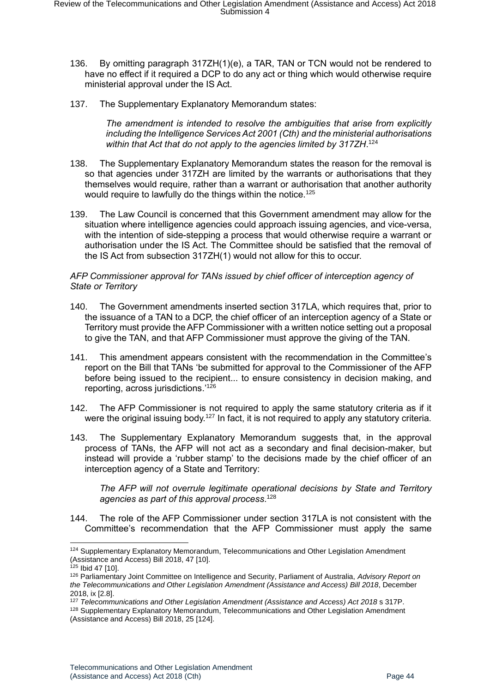- 136. By omitting paragraph 317ZH(1)(e), a TAR, TAN or TCN would not be rendered to have no effect if it required a DCP to do any act or thing which would otherwise require ministerial approval under the IS Act.
- 137. The Supplementary Explanatory Memorandum states:

*The amendment is intended to resolve the ambiguities that arise from explicitly including the Intelligence Services Act 2001 (Cth) and the ministerial authorisations within that Act that do not apply to the agencies limited by 317ZH*. 124

- 138. The Supplementary Explanatory Memorandum states the reason for the removal is so that agencies under 317ZH are limited by the warrants or authorisations that they themselves would require, rather than a warrant or authorisation that another authority would require to lawfully do the things within the notice.<sup>125</sup>
- 139. The Law Council is concerned that this Government amendment may allow for the situation where intelligence agencies could approach issuing agencies, and vice-versa, with the intention of side-stepping a process that would otherwise require a warrant or authorisation under the IS Act. The Committee should be satisfied that the removal of the IS Act from subsection 317ZH(1) would not allow for this to occur.

#### <span id="page-43-0"></span>*AFP Commissioner approval for TANs issued by chief officer of interception agency of State or Territory*

- 140. The Government amendments inserted section 317LA, which requires that, prior to the issuance of a TAN to a DCP, the chief officer of an interception agency of a State or Territory must provide the AFP Commissioner with a written notice setting out a proposal to give the TAN, and that AFP Commissioner must approve the giving of the TAN.
- 141. This amendment appears consistent with the recommendation in the Committee's report on the Bill that TANs 'be submitted for approval to the Commissioner of the AFP before being issued to the recipient... to ensure consistency in decision making, and reporting, across jurisdictions.' 126
- 142. The AFP Commissioner is not required to apply the same statutory criteria as if it were the original issuing body.<sup>127</sup> In fact, it is not required to apply any statutory criteria.
- 143. The Supplementary Explanatory Memorandum suggests that, in the approval process of TANs, the AFP will not act as a secondary and final decision-maker, but instead will provide a 'rubber stamp' to the decisions made by the chief officer of an interception agency of a State and Territory:

*The AFP will not overrule legitimate operational decisions by State and Territory agencies as part of this approval process*. 128

144. The role of the AFP Commissioner under section 317LA is not consistent with the Committee's recommendation that the AFP Commissioner must apply the same

<sup>124</sup> Supplementary Explanatory Memorandum, Telecommunications and Other Legislation Amendment (Assistance and Access) Bill 2018, 47 [10].

<sup>125</sup> Ibid 47 [10].

<sup>126</sup> Parliamentary Joint Committee on Intelligence and Security, Parliament of Australia, *Advisory Report on the Telecommunications and Other Legislation Amendment (Assistance and Access) Bill 2018*, December 2018, ix [2.8].

<sup>127</sup> *Telecommunications and Other Legislation Amendment (Assistance and Access) Act 2018* s 317P. 128 Supplementary Explanatory Memorandum, Telecommunications and Other Legislation Amendment (Assistance and Access) Bill 2018, 25 [124].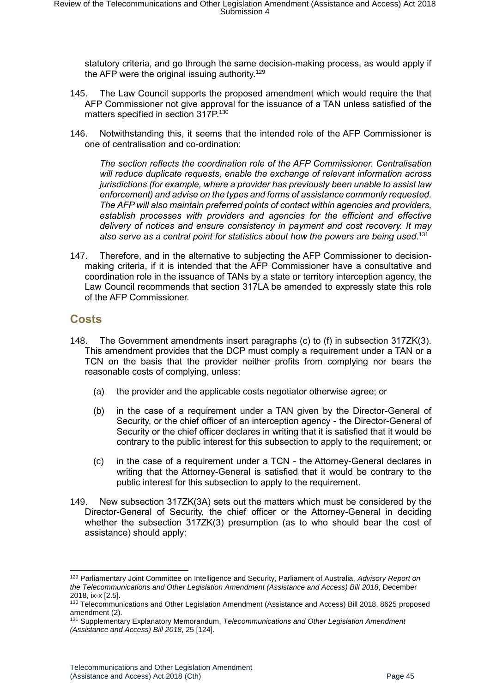statutory criteria, and go through the same decision-making process, as would apply if the AFP were the original issuing authority.<sup>129</sup>

- 145. The Law Council supports the proposed amendment which would require the that AFP Commissioner not give approval for the issuance of a TAN unless satisfied of the matters specified in section 317P.<sup>130</sup>
- 146. Notwithstanding this, it seems that the intended role of the AFP Commissioner is one of centralisation and co-ordination:

*The section reflects the coordination role of the AFP Commissioner. Centralisation will reduce duplicate requests, enable the exchange of relevant information across jurisdictions (for example, where a provider has previously been unable to assist law enforcement) and advise on the types and forms of assistance commonly requested. The AFP will also maintain preferred points of contact within agencies and providers, establish processes with providers and agencies for the efficient and effective delivery of notices and ensure consistency in payment and cost recovery. It may also serve as a central point for statistics about how the powers are being used.* 131

147. Therefore, and in the alternative to subjecting the AFP Commissioner to decisionmaking criteria, if it is intended that the AFP Commissioner have a consultative and coordination role in the issuance of TANs by a state or territory interception agency, the Law Council recommends that section 317LA be amended to expressly state this role of the AFP Commissioner.

#### <span id="page-44-0"></span>**Costs**

- 148. The Government amendments insert paragraphs (c) to (f) in subsection 317ZK(3). This amendment provides that the DCP must comply a requirement under a TAN or a TCN on the basis that the provider neither profits from complying nor bears the reasonable costs of complying, unless:
	- (a) the provider and the applicable costs negotiator otherwise agree; or
	- (b) in the case of a requirement under a TAN given by the Director-General of Security, or the chief officer of an interception agency - the Director-General of Security or the chief officer declares in writing that it is satisfied that it would be contrary to the public interest for this subsection to apply to the requirement; or
	- (c) in the case of a requirement under a TCN the Attorney-General declares in writing that the Attorney-General is satisfied that it would be contrary to the public interest for this subsection to apply to the requirement.
- 149. New subsection 317ZK(3A) sets out the matters which must be considered by the Director-General of Security, the chief officer or the Attorney-General in deciding whether the subsection 317ZK(3) presumption (as to who should bear the cost of assistance) should apply:

<sup>129</sup> Parliamentary Joint Committee on Intelligence and Security, Parliament of Australia, *Advisory Report on the Telecommunications and Other Legislation Amendment (Assistance and Access) Bill 2018*, December 2018, ix-x [2.5].

<sup>130</sup> Telecommunications and Other Legislation Amendment (Assistance and Access) Bill 2018, 8625 proposed amendment (2).

<sup>131</sup> Supplementary Explanatory Memorandum, *Telecommunications and Other Legislation Amendment (Assistance and Access) Bill 2018*, 25 [124].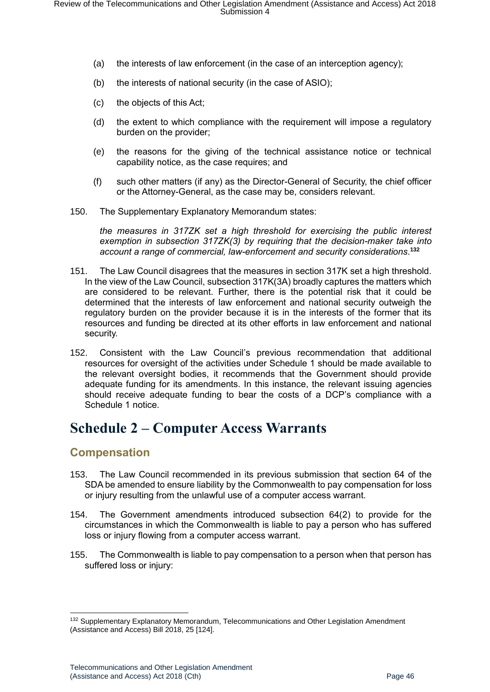- (a) the interests of law enforcement (in the case of an interception agency);
- (b) the interests of national security (in the case of ASIO);
- (c) the objects of this Act;
- (d) the extent to which compliance with the requirement will impose a regulatory burden on the provider;
- (e) the reasons for the giving of the technical assistance notice or technical capability notice, as the case requires; and
- (f) such other matters (if any) as the Director-General of Security, the chief officer or the Attorney-General, as the case may be, considers relevant.
- 150. The Supplementary Explanatory Memorandum states:

*the measures in 317ZK set a high threshold for exercising the public interest exemption in subsection 317ZK(3) by requiring that the decision-maker take into account a range of commercial, law-enforcement and security considerations*. **132**

- 151. The Law Council disagrees that the measures in section 317K set a high threshold. In the view of the Law Council, subsection 317K(3A) broadly captures the matters which are considered to be relevant. Further, there is the potential risk that it could be determined that the interests of law enforcement and national security outweigh the regulatory burden on the provider because it is in the interests of the former that its resources and funding be directed at its other efforts in law enforcement and national security.
- 152. Consistent with the Law Council's previous recommendation that additional resources for oversight of the activities under Schedule 1 should be made available to the relevant oversight bodies, it recommends that the Government should provide adequate funding for its amendments. In this instance, the relevant issuing agencies should receive adequate funding to bear the costs of a DCP's compliance with a Schedule 1 notice.

# <span id="page-45-0"></span>**Schedule 2 – Computer Access Warrants**

#### <span id="page-45-1"></span>**Compensation**

- 153. The Law Council recommended in its previous submission that section 64 of the SDA be amended to ensure liability by the Commonwealth to pay compensation for loss or injury resulting from the unlawful use of a computer access warrant.
- 154. The Government amendments introduced subsection 64(2) to provide for the circumstances in which the Commonwealth is liable to pay a person who has suffered loss or injury flowing from a computer access warrant.
- 155. The Commonwealth is liable to pay compensation to a person when that person has suffered loss or injury:

<sup>&</sup>lt;sup>132</sup> Supplementary Explanatory Memorandum, Telecommunications and Other Legislation Amendment (Assistance and Access) Bill 2018, 25 [124].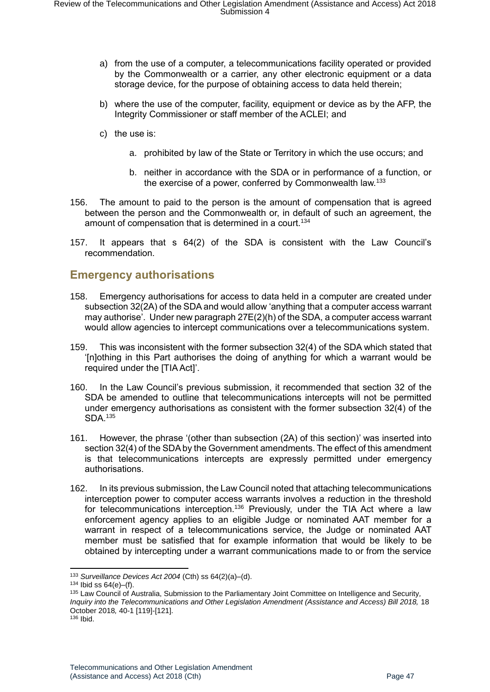- a) from the use of a computer, a telecommunications facility operated or provided by the Commonwealth or a carrier, any other electronic equipment or a data storage device, for the purpose of obtaining access to data held therein;
- b) where the use of the computer, facility, equipment or device as by the AFP, the Integrity Commissioner or staff member of the ACLEI; and
- c) the use is:
	- a. prohibited by law of the State or Territory in which the use occurs; and
	- b. neither in accordance with the SDA or in performance of a function, or the exercise of a power, conferred by Commonwealth law.<sup>133</sup>
- 156. The amount to paid to the person is the amount of compensation that is agreed between the person and the Commonwealth or, in default of such an agreement, the amount of compensation that is determined in a court.<sup>134</sup>
- 157. It appears that s 64(2) of the SDA is consistent with the Law Council's recommendation.

#### <span id="page-46-0"></span>**Emergency authorisations**

- 158. Emergency authorisations for access to data held in a computer are created under subsection 32(2A) of the SDA and would allow 'anything that a computer access warrant may authorise'. Under new paragraph 27E(2)(h) of the SDA, a computer access warrant would allow agencies to intercept communications over a telecommunications system.
- 159. This was inconsistent with the former subsection 32(4) of the SDA which stated that '[n]othing in this Part authorises the doing of anything for which a warrant would be required under the [TIA Act]'.
- 160. In the Law Council's previous submission, it recommended that section 32 of the SDA be amended to outline that telecommunications intercepts will not be permitted under emergency authorisations as consistent with the former subsection 32(4) of the SDA.<sup>135</sup>
- 161. However, the phrase '(other than subsection (2A) of this section)' was inserted into section 32(4) of the SDA by the Government amendments. The effect of this amendment is that telecommunications intercepts are expressly permitted under emergency authorisations.
- 162. In its previous submission, the Law Council noted that attaching telecommunications interception power to computer access warrants involves a reduction in the threshold for telecommunications interception.<sup>136</sup> Previously, under the TIA Act where a law enforcement agency applies to an eligible Judge or nominated AAT member for a warrant in respect of a telecommunications service, the Judge or nominated AAT member must be satisfied that for example information that would be likely to be obtained by intercepting under a warrant communications made to or from the service

<sup>133</sup> *Surveillance Devices Act 2004* (Cth) ss 64(2)(a)–(d).

 $134$  Ibid ss  $64(e)$ –(f).

<sup>135</sup> Law Council of Australia, Submission to the Parliamentary Joint Committee on Intelligence and Security*, Inquiry into the Telecommunications and Other Legislation Amendment (Assistance and Access) Bill 2018, 18* October 2018*,* 40-1 [119]-[121].

 $136$  Ibid.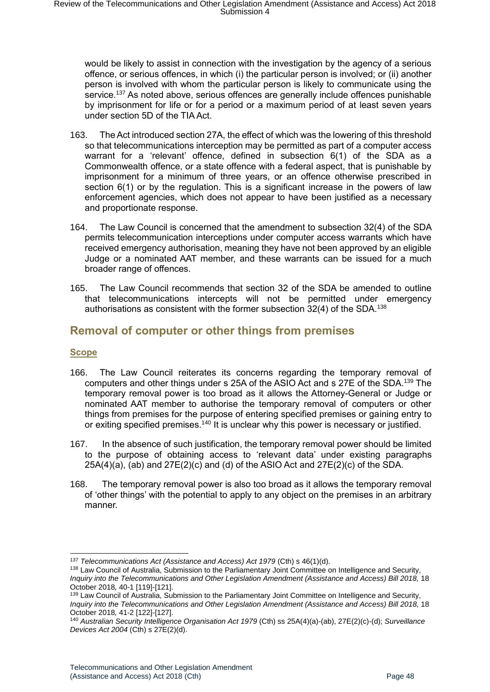would be likely to assist in connection with the investigation by the agency of a serious offence, or serious offences, in which (i) the particular person is involved; or (ii) another person is involved with whom the particular person is likely to communicate using the service.<sup>137</sup> As noted above, serious offences are generally include offences punishable by imprisonment for life or for a period or a maximum period of at least seven years under section 5D of the TIA Act.

- 163. The Act introduced section 27A, the effect of which was the lowering of this threshold so that telecommunications interception may be permitted as part of a computer access warrant for a 'relevant' offence, defined in subsection 6(1) of the SDA as a Commonwealth offence, or a state offence with a federal aspect, that is punishable by imprisonment for a minimum of three years, or an offence otherwise prescribed in section 6(1) or by the regulation. This is a significant increase in the powers of law enforcement agencies, which does not appear to have been justified as a necessary and proportionate response.
- 164. The Law Council is concerned that the amendment to subsection 32(4) of the SDA permits telecommunication interceptions under computer access warrants which have received emergency authorisation, meaning they have not been approved by an eligible Judge or a nominated AAT member, and these warrants can be issued for a much broader range of offences.
- 165. The Law Council recommends that section 32 of the SDA be amended to outline that telecommunications intercepts will not be permitted under emergency authorisations as consistent with the former subsection 32(4) of the SDA.<sup>138</sup>

## <span id="page-47-0"></span>**Removal of computer or other things from premises**

#### <span id="page-47-1"></span>**Scope**

- 166. The Law Council reiterates its concerns regarding the temporary removal of computers and other things under s 25A of the ASIO Act and s 27E of the SDA.<sup>139</sup> The temporary removal power is too broad as it allows the Attorney-General or Judge or nominated AAT member to authorise the temporary removal of computers or other things from premises for the purpose of entering specified premises or gaining entry to or exiting specified premises.<sup>140</sup> It is unclear why this power is necessary or justified.
- 167. In the absence of such justification, the temporary removal power should be limited to the purpose of obtaining access to 'relevant data' under existing paragraphs  $25A(4)(a)$ , (ab) and  $27E(2)(c)$  and (d) of the ASIO Act and  $27E(2)(c)$  of the SDA.
- 168. The temporary removal power is also too broad as it allows the temporary removal of 'other things' with the potential to apply to any object on the premises in an arbitrary manner.

<sup>&</sup>lt;sup>137</sup> *Telecommunications Act (Assistance and Access) Act 1979* (Cth) s 46(1)(d).

<sup>138</sup> Law Council of Australia, Submission to the Parliamentary Joint Committee on Intelligence and Security*,*  Inquiry into the Telecommunications and Other Legislation Amendment (Assistance and Access) Bill 2018, 18 October 2018*,* 40-1 [119]-[121].

<sup>139</sup> Law Council of Australia, Submission to the Parliamentary Joint Committee on Intelligence and Security*, Inquiry into the Telecommunications and Other Legislation Amendment (Assistance and Access) Bill 2018, 18* October 2018*,* 41-2 [122]-[127].

<sup>140</sup> *Australian Security Intelligence Organisation Act 1979* (Cth) ss 25A(4)(a)-(ab), 27E(2)(c)-(d); *Surveillance Devices Act 2004* (Cth) s 27E(2)(d).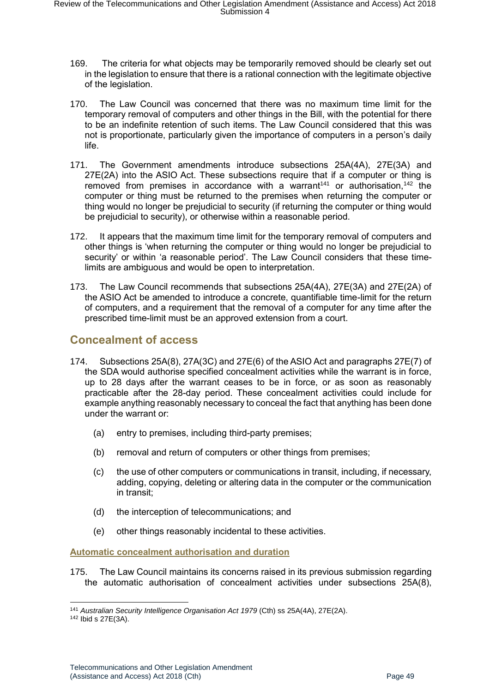- 169. The criteria for what objects may be temporarily removed should be clearly set out in the legislation to ensure that there is a rational connection with the legitimate objective of the legislation.
- 170. The Law Council was concerned that there was no maximum time limit for the temporary removal of computers and other things in the Bill, with the potential for there to be an indefinite retention of such items. The Law Council considered that this was not is proportionate, particularly given the importance of computers in a person's daily life.
- 171. The Government amendments introduce subsections 25A(4A), 27E(3A) and 27E(2A) into the ASIO Act. These subsections require that if a computer or thing is removed from premises in accordance with a warrant<sup>141</sup> or authorisation,<sup>142</sup> the computer or thing must be returned to the premises when returning the computer or thing would no longer be prejudicial to security (if returning the computer or thing would be prejudicial to security), or otherwise within a reasonable period.
- 172. It appears that the maximum time limit for the temporary removal of computers and other things is 'when returning the computer or thing would no longer be prejudicial to security' or within 'a reasonable period'. The Law Council considers that these timelimits are ambiguous and would be open to interpretation.
- 173. The Law Council recommends that subsections 25A(4A), 27E(3A) and 27E(2A) of the ASIO Act be amended to introduce a concrete, quantifiable time-limit for the return of computers, and a requirement that the removal of a computer for any time after the prescribed time-limit must be an approved extension from a court.

## <span id="page-48-0"></span>**Concealment of access**

- 174. Subsections 25A(8), 27A(3C) and 27E(6) of the ASIO Act and paragraphs 27E(7) of the SDA would authorise specified concealment activities while the warrant is in force, up to 28 days after the warrant ceases to be in force, or as soon as reasonably practicable after the 28-day period. These concealment activities could include for example anything reasonably necessary to conceal the fact that anything has been done under the warrant or:
	- (a) entry to premises, including third-party premises;
	- (b) removal and return of computers or other things from premises;
	- (c) the use of other computers or communications in transit, including, if necessary, adding, copying, deleting or altering data in the computer or the communication in transit;
	- (d) the interception of telecommunications; and
	- (e) other things reasonably incidental to these activities.

<span id="page-48-1"></span>**Automatic concealment authorisation and duration** 

175. The Law Council maintains its concerns raised in its previous submission regarding the automatic authorisation of concealment activities under subsections 25A(8),

<sup>1</sup> <sup>141</sup> *Australian Security Intelligence Organisation Act 1979* (Cth) ss 25A(4A), 27E(2A).

<sup>142</sup> Ibid s 27E(3A).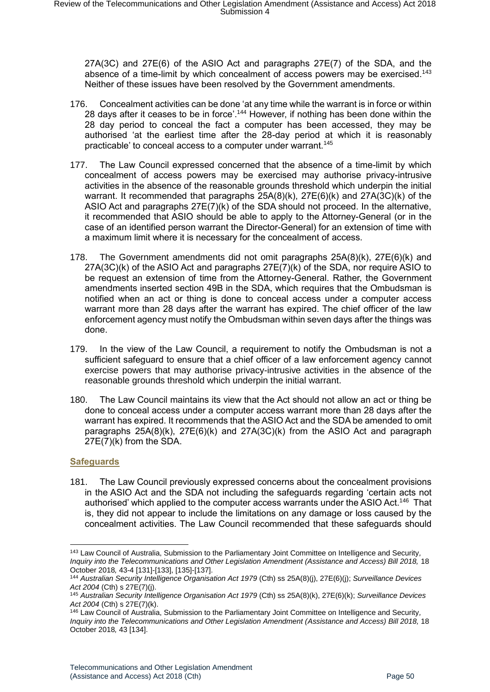27A(3C) and 27E(6) of the ASIO Act and paragraphs 27E(7) of the SDA, and the absence of a time-limit by which concealment of access powers may be exercised.<sup>143</sup> Neither of these issues have been resolved by the Government amendments.

- 176. Concealment activities can be done 'at any time while the warrant is in force or within 28 days after it ceases to be in force'.<sup>144</sup> However, if nothing has been done within the 28 day period to conceal the fact a computer has been accessed, they may be authorised 'at the earliest time after the 28-day period at which it is reasonably practicable' to conceal access to a computer under warrant.<sup>145</sup>
- 177. The Law Council expressed concerned that the absence of a time-limit by which concealment of access powers may be exercised may authorise privacy-intrusive activities in the absence of the reasonable grounds threshold which underpin the initial warrant. It recommended that paragraphs 25A(8)(k), 27E(6)(k) and 27A(3C)(k) of the ASIO Act and paragraphs 27E(7)(k) of the SDA should not proceed. In the alternative, it recommended that ASIO should be able to apply to the Attorney-General (or in the case of an identified person warrant the Director-General) for an extension of time with a maximum limit where it is necessary for the concealment of access.
- 178. The Government amendments did not omit paragraphs 25A(8)(k), 27E(6)(k) and 27A(3C)(k) of the ASIO Act and paragraphs 27E(7)(k) of the SDA, nor require ASIO to be request an extension of time from the Attorney-General. Rather, the Government amendments inserted section 49B in the SDA, which requires that the Ombudsman is notified when an act or thing is done to conceal access under a computer access warrant more than 28 days after the warrant has expired. The chief officer of the law enforcement agency must notify the Ombudsman within seven days after the things was done.
- 179. In the view of the Law Council, a requirement to notify the Ombudsman is not a sufficient safeguard to ensure that a chief officer of a law enforcement agency cannot exercise powers that may authorise privacy-intrusive activities in the absence of the reasonable grounds threshold which underpin the initial warrant.
- 180. The Law Council maintains its view that the Act should not allow an act or thing be done to conceal access under a computer access warrant more than 28 days after the warrant has expired. It recommends that the ASIO Act and the SDA be amended to omit paragraphs 25A(8)(k), 27E(6)(k) and 27A(3C)(k) from the ASIO Act and paragraph 27E(7)(k) from the SDA.

#### <span id="page-49-0"></span>**Safeguards**

-

181. The Law Council previously expressed concerns about the concealment provisions in the ASIO Act and the SDA not including the safeguards regarding 'certain acts not authorised' which applied to the computer access warrants under the ASIO Act.<sup>146</sup> That is, they did not appear to include the limitations on any damage or loss caused by the concealment activities. The Law Council recommended that these safeguards should

<sup>143</sup> Law Council of Australia, Submission to the Parliamentary Joint Committee on Intelligence and Security*,*  Inquiry into the Telecommunications and Other Legislation Amendment (Assistance and Access) Bill 2018, 18 October 2018*,* 43-4 [131]-[133], [135]-[137].

<sup>144</sup> *Australian Security Intelligence Organisation Act 1979* (Cth) ss 25A(8)(j), 27E(6)(j); *Surveillance Devices Act 2004* (Cth) s 27E(7)(j).

<sup>145</sup> *Australian Security Intelligence Organisation Act 1979* (Cth) ss 25A(8)(k), 27E(6)(k); *Surveillance Devices Act 2004* (Cth) s 27E(7)(k).

<sup>146</sup> Law Council of Australia, Submission to the Parliamentary Joint Committee on Intelligence and Security*,*  Inquiry into the Telecommunications and Other Legislation Amendment (Assistance and Access) Bill 2018, 18 October 2018*,* 43 [134].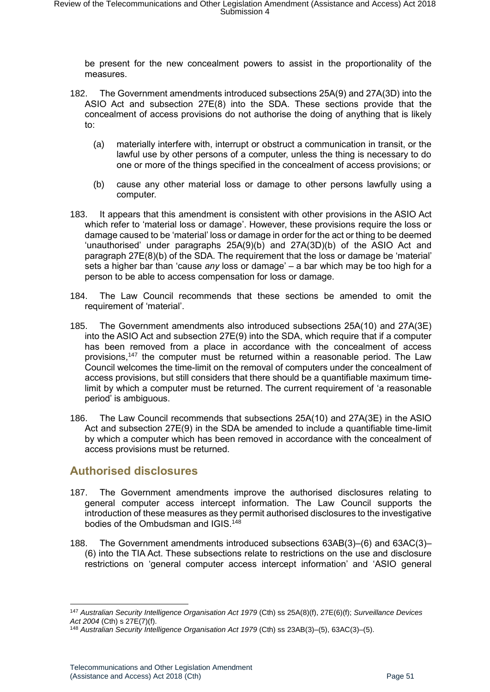be present for the new concealment powers to assist in the proportionality of the measures.

- 182. The Government amendments introduced subsections 25A(9) and 27A(3D) into the ASIO Act and subsection 27E(8) into the SDA. These sections provide that the concealment of access provisions do not authorise the doing of anything that is likely to:
	- (a) materially interfere with, interrupt or obstruct a communication in transit, or the lawful use by other persons of a computer, unless the thing is necessary to do one or more of the things specified in the concealment of access provisions; or
	- (b) cause any other material loss or damage to other persons lawfully using a computer.
- 183. It appears that this amendment is consistent with other provisions in the ASIO Act which refer to 'material loss or damage'. However, these provisions require the loss or damage caused to be 'material' loss or damage in order for the act or thing to be deemed 'unauthorised' under paragraphs 25A(9)(b) and 27A(3D)(b) of the ASIO Act and paragraph 27E(8)(b) of the SDA. The requirement that the loss or damage be 'material' sets a higher bar than 'cause *any* loss or damage' – a bar which may be too high for a person to be able to access compensation for loss or damage.
- 184. The Law Council recommends that these sections be amended to omit the requirement of 'material'.
- 185. The Government amendments also introduced subsections 25A(10) and 27A(3E) into the ASIO Act and subsection 27E(9) into the SDA, which require that if a computer has been removed from a place in accordance with the concealment of access provisions,<sup>147</sup> the computer must be returned within a reasonable period. The Law Council welcomes the time-limit on the removal of computers under the concealment of access provisions, but still considers that there should be a quantifiable maximum timelimit by which a computer must be returned. The current requirement of 'a reasonable period' is ambiguous.
- 186. The Law Council recommends that subsections 25A(10) and 27A(3E) in the ASIO Act and subsection 27E(9) in the SDA be amended to include a quantifiable time-limit by which a computer which has been removed in accordance with the concealment of access provisions must be returned.

## <span id="page-50-0"></span>**Authorised disclosures**

- 187. The Government amendments improve the authorised disclosures relating to general computer access intercept information. The Law Council supports the introduction of these measures as they permit authorised disclosures to the investigative bodies of the Ombudsman and IGIS.<sup>148</sup>
- 188. The Government amendments introduced subsections 63AB(3)–(6) and 63AC(3)– (6) into the TIA Act. These subsections relate to restrictions on the use and disclosure restrictions on 'general computer access intercept information' and 'ASIO general

<sup>147</sup> *Australian Security Intelligence Organisation Act 1979* (Cth) ss 25A(8)(f), 27E(6)(f); *Surveillance Devices Act 2004* (Cth) s 27E(7)(f).

<sup>148</sup> *Australian Security Intelligence Organisation Act 1979* (Cth) ss 23AB(3)–(5), 63AC(3)–(5).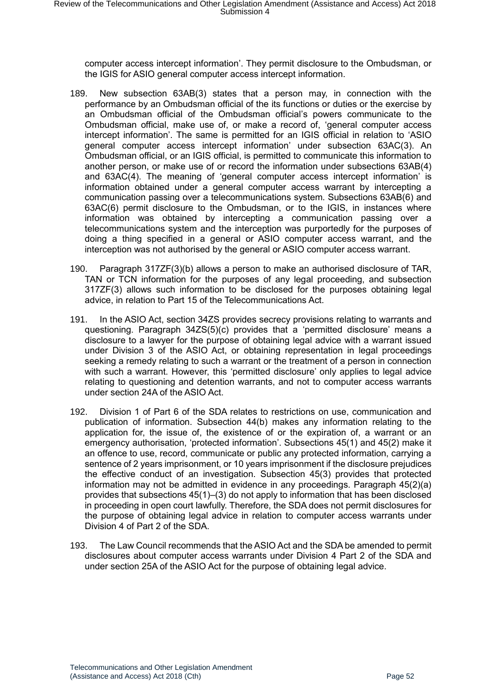computer access intercept information'. They permit disclosure to the Ombudsman, or the IGIS for ASIO general computer access intercept information.

- 189. New subsection 63AB(3) states that a person may, in connection with the performance by an Ombudsman official of the its functions or duties or the exercise by an Ombudsman official of the Ombudsman official's powers communicate to the Ombudsman official, make use of, or make a record of, 'general computer access intercept information'. The same is permitted for an IGIS official in relation to 'ASIO general computer access intercept information' under subsection 63AC(3). An Ombudsman official, or an IGIS official, is permitted to communicate this information to another person, or make use of or record the information under subsections 63AB(4) and 63AC(4). The meaning of 'general computer access intercept information' is information obtained under a general computer access warrant by intercepting a communication passing over a telecommunications system. Subsections 63AB(6) and 63AC(6) permit disclosure to the Ombudsman, or to the IGIS, in instances where information was obtained by intercepting a communication passing over a telecommunications system and the interception was purportedly for the purposes of doing a thing specified in a general or ASIO computer access warrant, and the interception was not authorised by the general or ASIO computer access warrant.
- 190. Paragraph 317ZF(3)(b) allows a person to make an authorised disclosure of TAR, TAN or TCN information for the purposes of any legal proceeding, and subsection 317ZF(3) allows such information to be disclosed for the purposes obtaining legal advice, in relation to Part 15 of the Telecommunications Act.
- 191. In the ASIO Act, section 34ZS provides secrecy provisions relating to warrants and questioning. Paragraph 34ZS(5)(c) provides that a 'permitted disclosure' means a disclosure to a lawyer for the purpose of obtaining legal advice with a warrant issued under Division 3 of the ASIO Act, or obtaining representation in legal proceedings seeking a remedy relating to such a warrant or the treatment of a person in connection with such a warrant. However, this 'permitted disclosure' only applies to legal advice relating to questioning and detention warrants, and not to computer access warrants under section 24A of the ASIO Act.
- 192. Division 1 of Part 6 of the SDA relates to restrictions on use, communication and publication of information. Subsection 44(b) makes any information relating to the application for, the issue of, the existence of or the expiration of, a warrant or an emergency authorisation, 'protected information'. Subsections 45(1) and 45(2) make it an offence to use, record, communicate or public any protected information, carrying a sentence of 2 years imprisonment, or 10 years imprisonment if the disclosure prejudices the effective conduct of an investigation. Subsection 45(3) provides that protected information may not be admitted in evidence in any proceedings. Paragraph 45(2)(a) provides that subsections 45(1)–(3) do not apply to information that has been disclosed in proceeding in open court lawfully. Therefore, the SDA does not permit disclosures for the purpose of obtaining legal advice in relation to computer access warrants under Division 4 of Part 2 of the SDA.
- 193. The Law Council recommends that the ASIO Act and the SDA be amended to permit disclosures about computer access warrants under Division 4 Part 2 of the SDA and under section 25A of the ASIO Act for the purpose of obtaining legal advice.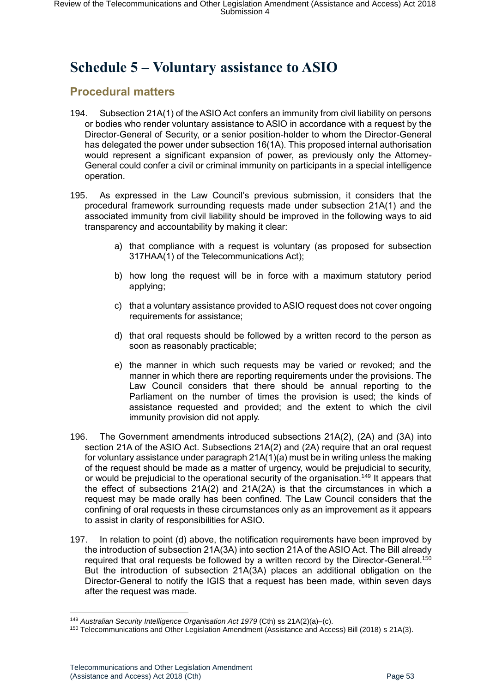# <span id="page-52-0"></span>**Schedule 5 – Voluntary assistance to ASIO**

## <span id="page-52-1"></span>**Procedural matters**

- 194. Subsection 21A(1) of the ASIO Act confers an immunity from civil liability on persons or bodies who render voluntary assistance to ASIO in accordance with a request by the Director-General of Security, or a senior position-holder to whom the Director-General has delegated the power under subsection 16(1A). This proposed internal authorisation would represent a significant expansion of power, as previously only the Attorney-General could confer a civil or criminal immunity on participants in a special intelligence operation.
- 195. As expressed in the Law Council's previous submission, it considers that the procedural framework surrounding requests made under subsection 21A(1) and the associated immunity from civil liability should be improved in the following ways to aid transparency and accountability by making it clear:
	- a) that compliance with a request is voluntary (as proposed for subsection 317HAA(1) of the Telecommunications Act);
	- b) how long the request will be in force with a maximum statutory period applying;
	- c) that a voluntary assistance provided to ASIO request does not cover ongoing requirements for assistance;
	- d) that oral requests should be followed by a written record to the person as soon as reasonably practicable;
	- e) the manner in which such requests may be varied or revoked; and the manner in which there are reporting requirements under the provisions. The Law Council considers that there should be annual reporting to the Parliament on the number of times the provision is used; the kinds of assistance requested and provided; and the extent to which the civil immunity provision did not apply.
- 196. The Government amendments introduced subsections 21A(2), (2A) and (3A) into section 21A of the ASIO Act. Subsections 21A(2) and (2A) require that an oral request for voluntary assistance under paragraph 21A(1)(a) must be in writing unless the making of the request should be made as a matter of urgency, would be prejudicial to security, or would be prejudicial to the operational security of the organisation.<sup>149</sup> It appears that the effect of subsections 21A(2) and 21A(2A) is that the circumstances in which a request may be made orally has been confined. The Law Council considers that the confining of oral requests in these circumstances only as an improvement as it appears to assist in clarity of responsibilities for ASIO.
- 197. In relation to point (d) above, the notification requirements have been improved by the introduction of subsection 21A(3A) into section 21A of the ASIO Act. The Bill already required that oral requests be followed by a written record by the Director-General.<sup>150</sup> But the introduction of subsection 21A(3A) places an additional obligation on the Director-General to notify the IGIS that a request has been made, within seven days after the request was made.

<sup>149</sup> *Australian Security Intelligence Organisation Act 1979* (Cth) ss 21A(2)(a)–(c).

<sup>150</sup> Telecommunications and Other Legislation Amendment (Assistance and Access) Bill (2018) s 21A(3).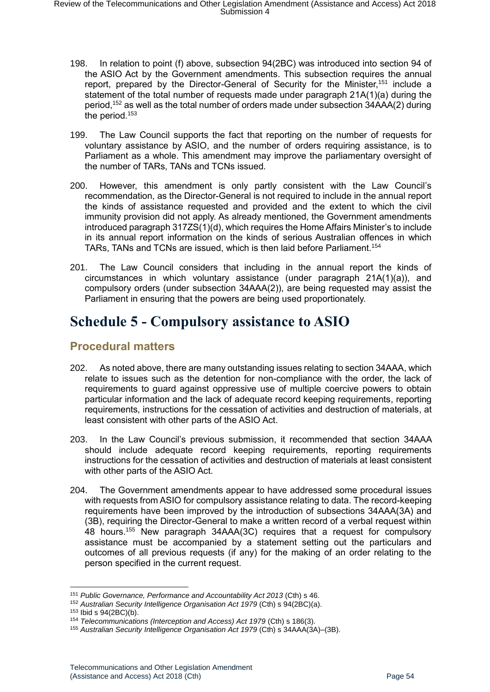- 198. In relation to point (f) above, subsection 94(2BC) was introduced into section 94 of the ASIO Act by the Government amendments. This subsection requires the annual report, prepared by the Director-General of Security for the Minister,<sup>151</sup> include a statement of the total number of requests made under paragraph 21A(1)(a) during the period,<sup>152</sup> as well as the total number of orders made under subsection 34AAA(2) during the period.<sup>153</sup>
- 199. The Law Council supports the fact that reporting on the number of requests for voluntary assistance by ASIO, and the number of orders requiring assistance, is to Parliament as a whole. This amendment may improve the parliamentary oversight of the number of TARs, TANs and TCNs issued.
- 200. However, this amendment is only partly consistent with the Law Council's recommendation, as the Director-General is not required to include in the annual report the kinds of assistance requested and provided and the extent to which the civil immunity provision did not apply. As already mentioned, the Government amendments introduced paragraph 317ZS(1)(d), which requires the Home Affairs Minister's to include in its annual report information on the kinds of serious Australian offences in which TARs, TANs and TCNs are issued, which is then laid before Parliament.<sup>154</sup>
- 201. The Law Council considers that including in the annual report the kinds of circumstances in which voluntary assistance (under paragraph 21A(1)(a)), and compulsory orders (under subsection 34AAA(2)), are being requested may assist the Parliament in ensuring that the powers are being used proportionately.

# <span id="page-53-0"></span>**Schedule 5 - Compulsory assistance to ASIO**

## <span id="page-53-1"></span>**Procedural matters**

- 202. As noted above, there are many outstanding issues relating to section 34AAA, which relate to issues such as the detention for non-compliance with the order, the lack of requirements to guard against oppressive use of multiple coercive powers to obtain particular information and the lack of adequate record keeping requirements, reporting requirements, instructions for the cessation of activities and destruction of materials, at least consistent with other parts of the ASIO Act.
- 203. In the Law Council's previous submission, it recommended that section 34AAA should include adequate record keeping requirements, reporting requirements instructions for the cessation of activities and destruction of materials at least consistent with other parts of the ASIO Act.
- 204. The Government amendments appear to have addressed some procedural issues with requests from ASIO for compulsory assistance relating to data. The record-keeping requirements have been improved by the introduction of subsections 34AAA(3A) and (3B), requiring the Director-General to make a written record of a verbal request within 48 hours.<sup>155</sup> New paragraph 34AAA(3C) requires that a request for compulsory assistance must be accompanied by a statement setting out the particulars and outcomes of all previous requests (if any) for the making of an order relating to the person specified in the current request.

<sup>151</sup> *Public Governance, Performance and Accountability Act 2013* (Cth) s 46.

<sup>152</sup> *Australian Security Intelligence Organisation Act 1979* (Cth) s 94(2BC)(a).

<sup>153</sup> Ibid s 94(2BC)(b).

<sup>154</sup> *Telecommunications (Interception and Access) Act 1979* (Cth) s 186(3).

<sup>155</sup> *Australian Security Intelligence Organisation Act 1979* (Cth) s 34AAA(3A)–(3B).